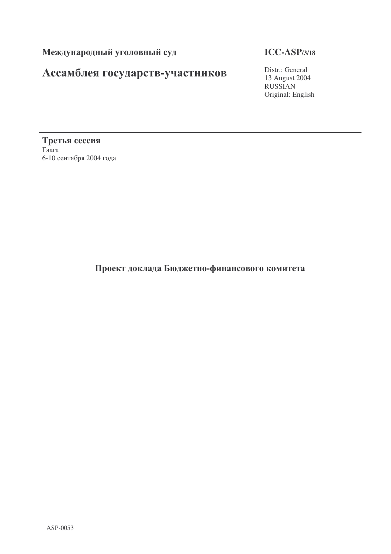# Ассамблея государств-участников

# **ICC-ASP/3/18**

Distr.: General 13 August 2004 RUSSIAN Original: English

Третья сессия  $\Gamma$ aara 6-10 сентября 2004 года

Проект доклада Бюджетно-финансового комитета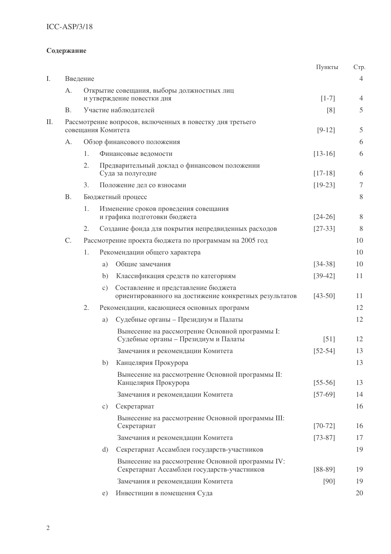# ICC-ASP/3/18

# Содержание

|    |           |          |                 |                                                                                                 | Пункты      | C <sub>TP</sub> |
|----|-----------|----------|-----------------|-------------------------------------------------------------------------------------------------|-------------|-----------------|
| I. |           | Введение |                 |                                                                                                 |             | $\overline{4}$  |
|    | A.        |          |                 | Открытие совещания, выборы должностных лиц                                                      |             |                 |
|    |           |          |                 | и утверждение повестки дня                                                                      | $[1-7]$     | $\overline{4}$  |
|    | <b>B.</b> |          |                 | Участие наблюдателей                                                                            | [8]         | 5               |
| П. |           |          |                 | Рассмотрение вопросов, включенных в повестку дня третьего<br>совещания Комитета                 | $[9-12]$    | 5               |
|    | A.        |          |                 | Обзор финансового положения                                                                     |             | 6               |
|    |           | 1.       |                 | Финансовые ведомости                                                                            | $[13-16]$   | 6               |
|    |           | 2.       |                 | Предварительный доклад о финансовом положении<br>Суда за полугодие                              | $[17-18]$   | 6               |
|    |           | 3.       |                 | Положение дел со взносами                                                                       | $[19-23]$   | 7               |
|    | <b>B.</b> |          |                 | Бюджетный процесс                                                                               |             | 8               |
|    |           | 1.       |                 | Изменение сроков проведения совещания<br>и графика подготовки бюджета                           | $[24-26]$   | 8               |
|    |           | 2.       |                 | Создание фонда для покрытия непредвиденных расходов                                             | $[27-33]$   | 8               |
|    | C.        |          |                 | Рассмотрение проекта бюджета по программам на 2005 год                                          |             | 10              |
|    |           | 1.       |                 | Рекомендации общего характера                                                                   |             | 10              |
|    |           |          | a)              | Общие замечания                                                                                 | $[34-38]$   | 10              |
|    |           |          | b)              | Классификация средств по категориям                                                             | $[39-42]$   | 11              |
|    |           |          | $\mathcal{C}$ ) | Составление и представление бюджета<br>ориентированного на достижение конкретных результатов    | $[43-50]$   | 11              |
|    |           | 2.       |                 | Рекомендации, касающиеся основных программ                                                      |             | 12              |
|    |           |          | a)              | Судебные органы - Президиум и Палаты                                                            |             | 12              |
|    |           |          |                 | Вынесение на рассмотрение Основной программы I:<br>Судебные органы - Президиум и Палаты         | $[51]$      | 12              |
|    |           |          |                 | Замечания и рекомендации Комитета                                                               | $[52 - 54]$ | 13              |
|    |           |          | b)              | Канцелярия Прокурора                                                                            |             | 13              |
|    |           |          |                 | Вынесение на рассмотрение Основной программы II:<br>Канцелярия Прокурора                        | $[55-56]$   | 13              |
|    |           |          |                 | Замечания и рекомендации Комитета                                                               | $[57-69]$   | 14              |
|    |           |          | c)              | Секретариат                                                                                     |             | 16              |
|    |           |          |                 | Вынесение на рассмотрение Основной программы III:<br>Секретариат                                | $[70-72]$   | 16              |
|    |           |          |                 | Замечания и рекомендации Комитета                                                               | $[73-87]$   | 17              |
|    |           |          | d)              | Секретариат Ассамблеи государств-участников                                                     |             | 19              |
|    |           |          |                 | Вынесение на рассмотрение Основной программы IV:<br>Секретариат Ассамблеи государств-участников | $[88-89]$   | 19              |
|    |           |          |                 | Замечания и рекомендации Комитета                                                               | $[90]$      | 19              |
|    |           |          | e)              | Инвестиции в помещения Суда                                                                     |             | 20              |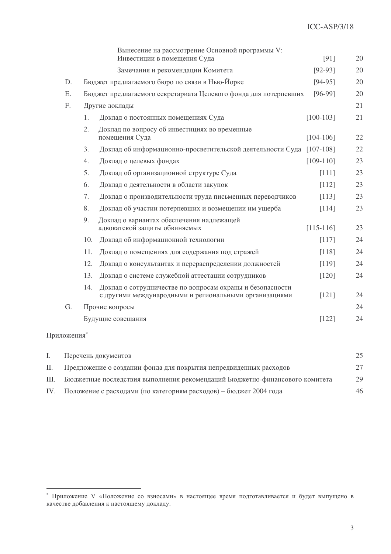|    |     | Вынесение на рассмотрение Основной программы V:<br>Инвестиции в помещения Суда                                      | [91]        | 20 |
|----|-----|---------------------------------------------------------------------------------------------------------------------|-------------|----|
|    |     | Замечания и рекомендации Комитета                                                                                   | $[92-93]$   | 20 |
| D. |     | Бюджет предлагаемого бюро по связи в Нью-Йорке                                                                      | $[94-95]$   | 20 |
| Ε. |     | Бюджет предлагаемого секретариата Целевого фонда для потерпевших                                                    | $[96-99]$   | 20 |
| F. |     | Другие доклады                                                                                                      |             | 21 |
|    | 1.  | Доклад о постоянных помещениях Суда                                                                                 | $[100-103]$ | 21 |
|    | 2.  | Доклад по вопросу об инвестициях во временные<br>помещения Суда                                                     | $[104-106]$ | 22 |
|    | 3.  | Доклад об информационно-просветительской деятельности Суда [107-108]                                                |             | 22 |
|    | 4.  | Доклад о целевых фондах                                                                                             | $[109-110]$ | 23 |
|    | 5.  | Доклад об организационной структуре Суда                                                                            | [111]       | 23 |
|    | 6.  | Доклад о деятельности в области закупок                                                                             | [112]       | 23 |
|    | 7.  | Доклад о производительности труда письменных переводчиков                                                           | [113]       | 23 |
|    | 8.  | Доклад об участии потерпевших и возмещении им ущерба                                                                | [114]       | 23 |
|    | 9.  | Доклад о вариантах обеспечения надлежащей<br>адвокатской защиты обвиняемых                                          | $[115-116]$ | 23 |
|    | 10. | Доклад об информационной технологии                                                                                 | [117]       | 24 |
|    | 11. | Доклад о помещениях для содержания под стражей                                                                      | [118]       | 24 |
|    | 12. | Доклад о консультантах и перераспределении должностей                                                               | [119]       | 24 |
|    | 13. | Доклад о системе служебной аттестации сотрудников                                                                   | $[120]$     | 24 |
|    | 14. | Доклад о сотрудничестве по вопросам охраны и безопасности<br>с другими международными и региональными организациями | [121]       | 24 |
| G. |     | Прочие вопросы                                                                                                      |             | 24 |
|    |     | Будущие совещания                                                                                                   | [122]       | 24 |
|    |     |                                                                                                                     |             |    |

# Приложения\*

| Перечень документов                                                              | 25 |
|----------------------------------------------------------------------------------|----|
| II. Предложение о создании фонда для покрытия непредвиденных расходов            | 27 |
| III. Бюджетные последствия выполнения рекомендаций Бюджетно-финансового комитета | 29 |
| IV. Положение с расходами (по категориям расходов) – бюджет 2004 года            | 46 |

<sup>\*</sup> Приложение V «Положение со взносами» в настоящее время подготавливается и будет выпущено в качестве добавления к настоящему докладу.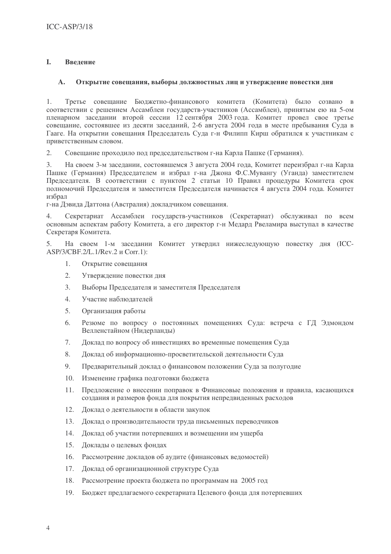#### I. Ввеление

#### $\mathbf{A}$ . Открытие совещания, выборы должностных лиц и утверждение повестки дня

Третье совещание Бюджетно-финансового комитета (Комитета) было созвано в 1. соответствии с решением Ассамблеи государств-участников (Ассамблеи), принятым ею на 5-ом пленарном заседании второй сессии 12 сентября 2003 года. Комитет провел свое третье совещание, состоявшее из десяти заседаний, 2-6 августа 2004 года в месте пребывания Суда в Гааге. На открытии совещания Председатель Суда г-н Филипп Кирш обратился к участникам с приветственным словом.

 $\overline{2}$ . Совещание проходило под председательством г-на Карла Пашке (Германия).

На своем 3-м заседании, состоявшемся 3 августа 2004 года, Комитет переизбрал г-на Карла  $\mathcal{E}$ Пашке (Германия) Председателем и избрал г-на Джона Ф.С.Мувангу (Уганда) заместителем Председателя. В соответствии с пунктом 2 статьи 10 Правил процедуры Комитета срок полномочий Председателя и заместителя Председателя начинается 4 августа 2004 года. Комитет избрал

г-на Дэвида Даттона (Австралия) докладчиком совещания.

Секретариат Ассамблеи государств-участников (Секретариат) обслуживал по всем  $\Delta$ основным аспектам работу Комитета, а его директор г-н Медард Рвеламира выступал в качестве Секретаря Комитета.

 $5<sup>1</sup>$ На своем 1-м заседании Комитет утвердил нижеследующую повестку дня (ICC-ASP/3/CBF.2/L.1/Rev.2 и Corr.1):

- $1.$ Открытие совещания
- $\overline{2}$ . Утверждение повестки дня
- $\overline{3}$ . Выборы Председателя и заместителя Председателя
- $\overline{4}$ . Участие наблюдателей
- $5<sub>1</sub>$ Организация работы
- Резюме по вопросу о постоянных помещениях Суда: встреча с ГД Эдмондом 6. Велленстайном (Нидерланды)
- $7.$ Доклад по вопросу об инвестициях во временные помещения Суда
- 8. Доклад об информационно-просветительской деятельности Суда
- $\overline{Q}$ Предварительный доклад о финансовом положении Суда за полугодие
- 10. Изменение графика подготовки бюджета
- Предложение о внесении поправок в Финансовые положения и правила, касающихся  $11.$ создания и размеров фонда для покрытия непредвиденных расходов
- 12. Доклад о деятельности в области закупок
- 13. Доклад о производительности труда письменных переводчиков
- 14. Доклад об участии потерпевших и возмещении им ущерба
- 15. Доклады о целевых фондах
- 16. Рассмотрение докладов об аудите (финансовых ведомостей)
- 17. Доклад об организационной структуре Суда
- 18. Рассмотрение проекта бюлжета по программам на 2005 год
- 19. Бюджет предлагаемого секретариата Целевого фонда для потерпевших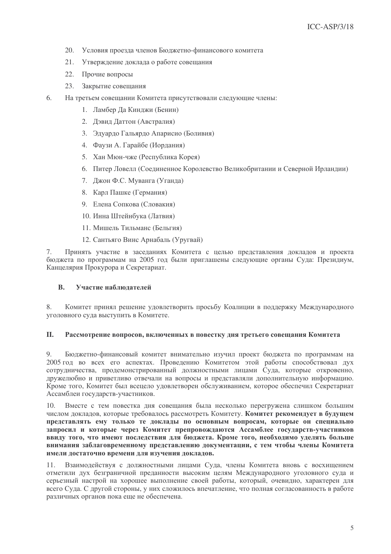- 20. Условия проезда членов Бюджетно-финансового комитета
- 21. Утверждение доклада о работе совещания
- 22. Прочие вопросы
- 23. Закрытие совещания
- 6. На третьем совещании Комитета присутствовали следующие члены:
	- 1. Ламбер Да Кинджи (Бенин)
	- 2. Дэвид Даттон (Австралия)
	- 3. Эдуардо Гальярдо Апарисио (Боливия)
	- 4. Фаузи А. Гарайбе (Иордания)
	- 5. Хан Мюн-чже (Республика Корея)
	- 6. Питер Ловелл (Соединенное Королевство Великобритании и Северной Ирландии)
	- 7. Джон Ф.С. Муванга (Уганда)
	- 8. Карл Пашке (Германия)
	- 9. Елена Сопкова (Словакия)
	- 10. Инна Штейнбука (Латвия)
	- 11. Мишель Тильманс (Бельгия)
	- 12. Сантьяго Винс Арнабаль (Уругвай)

 $7.$ Принять участие в заседаниях Комитета с целью представления докладов и проекта бюджета по программам на 2005 год были приглашены следующие органы Суда: Президиум, Канцелярия Прокурора и Секретариат.

#### $\mathbf{R}$ . Участие наблюлателей

Комитет принял решение удовлетворить просьбу Коалиции в поддержку Международного 8. уголовного суда выступить в Комитете.

#### II. Рассмотрение вопросов, включенных в повестку дня третьего совещания Комитета

Бюджетно-финансовый комитет внимательно изучил проект бюджета по программам на 9. 2005 год во всех его аспектах. Проведению Комитетом этой работы способствовал дух сотрудничества, продемонстрированный должностными лицами Суда, которые откровенно, дружелюбно и приветливо отвечали на вопросы и представляли дополнительную информацию. Кроме того, Комитет был всецело удовлетворен обслуживанием, которое обеспечил Секретариат Ассамблеи государств-участников.

Вместе с тем повестка дня совещания была несколько перегружена слишком большим  $10<sub>1</sub>$ числом докладов, которые требовалось рассмотреть Комитету. Комитет рекомендует в будущем представлять ему только те доклады по основным вопросам, которые он специально запросил и которые через Комитет препровождаются Ассамблее государств-участников ввиду того, что имеют последствия для бюджета. Кроме того, необходимо уделять больше внимания заблаговременному представлению документации, с тем чтобы члены Комитета имели достаточно времени для изучения докладов.

Взаимодействуя с должностными лицами Суда, члены Комитета вновь с восхищением  $11$ отметили дух безграничной преданности высоким целям Международного уголовного суда и серьезный настрой на хорошее выполнение своей работы, который, очевидно, характерен для всего Суда. С другой стороны, у них сложилось впечатление, что полная согласованность в работе различных органов пока еще не обеспечена.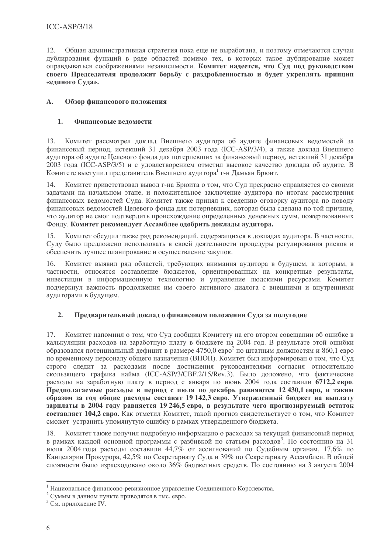$12.$ Общая административная стратегия пока еще не выработана, и поэтому отмечаются случаи дублирования функций в ряде областей помимо тех, в которых такое дублирование может оправдываться соображениями независимости. Комитет надеется, что Суд под руководством своего Председателя продолжит борьбу с раздробленностью и будет укреплять принцип «единого Суда».

#### $\mathbf{A}$ . Обзор финансового положения

#### 1. Финансовые веломости

Комитет рассмотрел доклад Внешнего аудитора об аудите финансовых ведомостей за  $13.$ финансовый период, истекший 31 декабря 2003 года (ICC-ASP/3/4), а также доклад Внешнего аудитора об аудите Целевого фонда для потерпевших за финансовый период, истекший 31 декабря 2003 года (ICC-ASP/3/5) и с удовлетворением отметил высокое качество доклада об аудите. В Комитете выступил представитель Внешнего аудитора<sup>1</sup> г-н Дамьян Брюит.

Комитет приветствовал вывод г-на Брюита о том, что Суд прекрасно справляется со своими 14. задачами на начальном этапе, и положительное заключение аудитора по итогам рассмотрения финансовых ведомостей Суда. Комитет также принял к сведению оговорку аудитора по поводу финансовых ведомостей Целевого фонда для потерпевших, которая была сделана по той причине, что аудитор не смог подтвердить происхождение определенных денежных сумм, пожертвованных Фонду. Комитет рекомендует Ассамблее одобрить доклады аудитора.

15. Комитет обсудил также ряд рекомендаций, содержащихся в докладах аудитора. В частности, Суду было предложено использовать в своей деятельности процедуры регулирования рисков и обеспечить лучшее планирование и осуществление закупок.

Комитет выявил ряд областей, требующих внимания аудитора в будущем, к которым, в  $16.$ частности, относятся составление бюджетов, ориентированных на конкретные результаты, инвестиции в информационную технологию и управление людскими ресурсами. Комитет подчеркнул важность продолжения им своего активного диалога с внешними и внутренними аудиторами в будущем.

#### $2.$ Предварительный доклад о финансовом положении Суда за полугодие

Комитет напомнил о том, что Суд сообщил Комитету на его втором совещании об ошибке в  $17.$ калькуляции расходов на заработную плату в бюджете на 2004 год. В результате этой ошибки образовался потенциальный дефицит в размере 4750,0 евро<sup>2</sup> по штатным должностям и 860,1 евро по временному персоналу общего назначения (ВПОН). Комитет был информирован о том, что Суд строго следит за расходами после достижения руководителями согласия относительно скользящего графика найма (ICC-ASP/3/CBF.2/15/Rev.3). Было доложено, что фактические расходы на заработную плату в период с января по июнь 2004 года составили 6712,2 евро. Предполагаемые расходы в период с июля по декабрь равняются 12 430,1 евро, и таким образом за год общие расходы составят 19 142,3 евро. Утвержденный бюджет на выплату зарплаты в 2004 году равняется 19 246,5 евро, в результате чего прогнозируемый остаток составляет 104.2 евро. Как отметил Комитет, такой прогноз свидетельствует о том, что Комитет сможет устранить упомянутую ошибку в рамках утвержденного бюджета.

Комитет также получил подробную информацию о расходах за текущий финансовый период 18. в рамках каждой основной программы с разбивкой по статьям расходов<sup>3</sup>. По состоянию на 31 июля 2004 года расходы составили 44,7% от ассигнований по Судебным органам, 17,6% по Канцелярии Прокурора, 42,5% по Секретариату Суда и 39% по Секретариату Ассамблеи. В общей сложности было израсходовано около 36% бюджетных средств. По состоянию на 3 августа 2004

<sup>&</sup>lt;sup>1</sup> Национальное финансово-ревизионное управление Соединенного Королевства.

<sup>&</sup>lt;sup>2</sup> Суммы в данном пункте приводятся в тыс. евро.

<sup>&</sup>lt;sup>3</sup> См. приложение IV.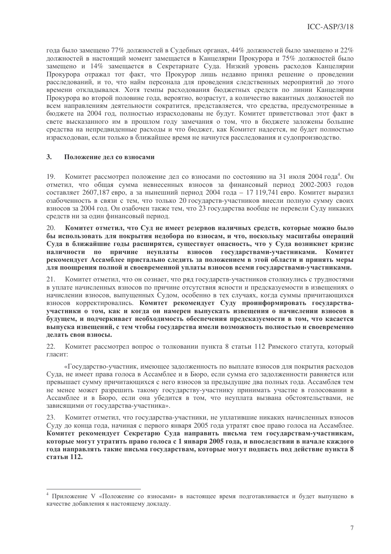года было замещено 77% должностей в Судебных органах, 44% должностей было замещено и 22% должностей в настоящий момент замещается в Канцелярии Прокурора и 75% должностей было замещено и 14% замещается в Секретариате Суда. Низкий уровень расходов Канцелярии Прокурора отражал тот факт, что Прокурор лишь недавно принял решение о проведении расследований, и то, что найм персонала для проведения следственных мероприятий до этого времени откладывался. Хотя темпы расходования бюджетных средств по линии Канцелярии Прокурора во второй половине года, вероятно, возрастут, а количество вакантных должностей по всем направлениям деятельности сократится, представляется, что средства, предусмотренные в бюджете на 2004 год, полностью израсходованы не будут. Комитет приветствовал этот факт в свете высказанного им в прошлом году замечания о том, что в бюджете заложены большие средства на непредвиденные расходы и что бюджет, как Комитет надеется, не будет полностью израсходован, если только в ближайшее время не начнутся расследования и судопроизводство.

#### $\mathbf{3}$ . Положение лел со взносами

Комитет рассмотрел положение дел со взносами по состоянию на 31 июля 2004 года<sup>4</sup>. Он 19. отметил, что общая сумма невнесенных взносов за финансовый период 2002-2003 годов составляет 2607,187 евро, а за нынешний период 2004 года - 17 119,741 евро. Комитет выразил озабоченность в связи с тем, что только 20 государств-участников внесли полную сумму своих взносов за 2004 год. Он озабочен также тем, что 23 государства вообще не перевели Суду никаких средств ни за один финансовый период.

Комитет отметил, что Суд не имеет резервов наличных средств, которые можно было  $20^{\circ}$ бы использовать для покрытия недобора по взносам, и что, поскольку масштабы операций Суда в ближайшие годы расширятся, существует опасность, что у Суда возникнет кризис наличности по причине неуплаты взносов государствами-участниками. Комитет рекомендует Ассамблее пристально следить за положением в этой области и принять меры для поощрения полной и своевременной уплаты взносов всеми государствами-участниками.

 $21.$ Комитет отметил, что он сознает, что ряд государств-участников столкнулись с трудностями в уплате начисленных взносов по причине отсутствия ясности и предсказуемости в извещениях о начислении взносов, выпущенных Судом, особенно в тех случаях, когда суммы причитающихся взносов корректировались. Комитет рекомендует Суду проинформировать государстваучастники о том, как и когда он намерен выпускать извещения о начислении взносов в будущем, и подчеркивает необходимость обеспечения предсказуемости в том, что касается выпуска извещений, с тем чтобы государства имели возможность полностью и своевременно делать свои взносы.

Комитет рассмотрел вопрос о толковании пункта 8 статьи 112 Римского статута, который 22. гласит:

«Государство-участник, имеющее задолженность по выплате взносов для покрытия расходов Суда, не имеет права голоса в Ассамблее и в Бюро, если сумма его задолженности равняется или превышает сумму причитающихся с него взносов за предыдущие два полных года. Ассамблея тем не менее может разрешить такому государству-участнику принимать участие в голосовании в Ассамблее и в Бюро, если она убедится в том, что неуплата вызвана обстоятельствами, не зависящими от государства-участника».

23. Комитет отметил, что государства-участники, не уплатившие никаких начисленных взносов Суду до конца года, начиная с первого января 2005 года утратят свое право голоса на Ассамблее. Комитет рекомендует Секретарю Суда направить письма тем государствам-участникам, которые могут утратить право голоса с 1 января 2005 года, и впоследствии в начале каждого года направлять такие письма государствам, которые могут подпасть под действие пункта 8 **статьи** 112.

<sup>&</sup>lt;sup>4</sup> Приложение V «Положение со взносами» в настоящее время подготавливается и будет выпущено в качестве добавления к настоящему докладу.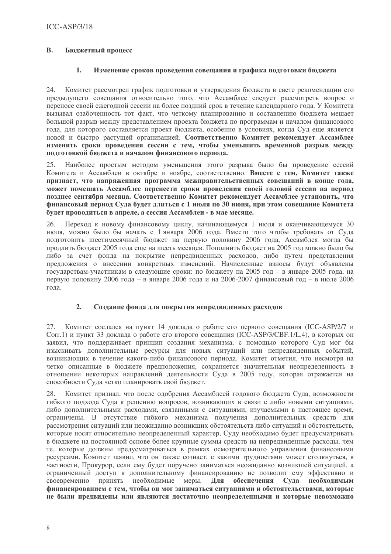#### $\mathbf{R}$ . Бюджетный процесс

#### $\mathbf{1}$ . Изменение сроков проведения совещания и графика подготовки бюджета

Комитет рассмотрел график подготовки и утверждения бюджета в свете рекомендации его 24. предыдущего совещания относительно того, что Ассамблее следует рассмотреть вопрос о переносе своей ежегодной сессии на более поздний срок в течение календарного года. У Комитета вызывал озабоченность тот факт, что четкому планированию и составлению бюджета мешает большой разрыв между представлением проекта бюджета по программам и началом финансового года, для которого составляется проект бюджета, особенно в условиях, когда Суд еще является новой и быстро растущей организацией. Соответственно Комитет рекомендует Ассамблее изменить сроки проведения сессии с тем, чтобы уменьшить временной разрыв между подготовкой бюджета и началом финансового периода.

 $25$ Наиболее простым методом уменьшения этого разрыва было бы проведение сессий Комитета и Ассамблеи в октябре и ноябре, соответственно. Вместе с тем, Комитет также признает, что напряженная программа межправительственных совещаний в конце года, может помешать Ассамблее перенести сроки проведения своей годовой сессии на период позднее сентября месяца. Соответственно Комитет рекомендует Ассамблее установить, что финансовый период Суда будет длиться с 1 июля по 30 июня, при этом совещание Комитета будет проводиться в апреле, а сессия Ассамблеи - в мае месяце.

26. Переход к новому финансовому циклу, начинающемуся 1 июля и оканчивающемуся 30 июля, можно было бы начать с 1 января 2006 года. Вместо того чтобы требовать от Суда подготовить шестимесячный бюджет на первую половину 2006 года, Ассамблея могла бы продлить бюджет 2005 года еще на шесть месяцев. Пополнить бюджет на 2005 год можно было бы либо за счет фонда на покрытие непредвиденных расходов, либо путем представления предложения о внесении конкретных изменений. Начисленные взносы будут объявлены государствам-участникам в следующие сроки: по бюджету на 2005 год – в январе 2005 года, на первую половину 2006 года – в январе 2006 года и на 2006-2007 финансовый год – в июле 2006 гола.

#### $2.$ Создание фонда для покрытия непредвиденных расходов

Комитет сослался на пункт 14 доклада о работе его первого совещания (ICC-ASP/2/7 и  $27$ Corr.1) и пункт 33 доклада о работе его второго совещания (ICC-ASP/3/CBF.1/L.4), в которых он заявил, что поддерживает принцип создания механизма, с помощью которого Суд мог бы изыскивать дополнительные ресурсы для новых ситуаций или непредвиденных событий, возникающих в течение какого-либо финансового периода. Комитет отметил, что несмотря на четко описанные в бюджете предположения, сохраняется значительная неопределенность в отношении некоторых направлений деятельности Суда в 2005 году, которая отражается на способности Суда четко планировать свой бюджет.

Комитет признал, что после одобрения Ассамблеей годового бюджета Суда, возможности 28 гибкого подхода Суда к решению вопросов, возникающих в связи с либо новыми ситуациями, либо дополнительными расходами, связанными с ситуациями, изучаемыми в настоящее время, ограничены. В отсутствие гибкого механизма получения дополнительных средств для рассмотрения ситуаций или неожиданно возникших обстоятельств либо ситуаций и обстоятельств, которые носят относительно неопределенный характер, Суду необходимо будет предусматривать в бюджете на постоянной основе более крупные суммы средств на непредвиденные расходы, чем те, которые должны предусматриваться в рамках осмотрительного управления финансовыми ресурсами. Комитет заявил, что он также сознает, с какими трудностями может столкнуться, в частности, Прокурор, если ему будет поручено заниматься неожиданно возникшей ситуацией, а ограниченный доступ к дополнительному финансированию не позволит ему эффективно и своевременно принять необходимые меры. Лля обеспечения Суда необходимым финансированием с тем. чтобы он мог заниматься ситуациями и обстоятельствами, которые не были предвидены или являются достаточно неопределенными и которые невозможно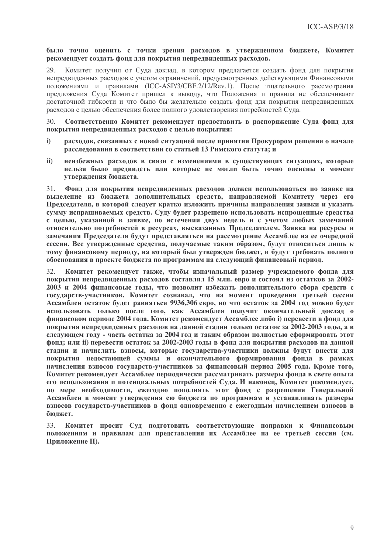### было точно оценить с точки зрения расходов в утвержденном бюджете, Комитет рекомендует создать фонд для покрытия непредвиденных расходов.

Комитет получил от Суда доклад, в котором предлагается создать фонд для покрытия 29 непредвиденных расходов с учетом ограничений, предусмотренных действующими Финансовыми положениями и правилами (ICC-ASP/3/CBF.2/12/Rev.1). После тщательного рассмотрения предложения Суда Комитет пришел к выводу, что Положения и правила не обеспечивают достаточной гибкости и что было бы желательно создать фонд для покрытия непредвиденных расходов с целью обеспечения более полного удовлетворения потребностей Суда.

 $30<sup>°</sup>$ Соответственно Комитет рекомендует предоставить в распоряжение Суда фонд для покрытия непредвиденных расходов с целью покрытия:

- расходов, связанных с новой ситуацией после принятия Прокурором решения о начале  $\mathbf{i}$ расследования в соответствии со статьей 13 Римского статута; и
- $\mathbf{ii}$ неизбежных расходов в связи с изменениями в существующих ситуациях, которые нельзя было предвидеть или которые не могли быть точно оценены в момент утверждения бюджета.

Фонд для покрытия непредвиденных расходов должен использоваться по заявке на  $31.$ выделение из бюджета дополнительных средств, направляемой Комитету через его Председателя, в которой следует кратко изложить причины направления заявки и указать сумму испрашиваемых средств. Суду будет разрешено использовать испрошенные средства с целью, указанной в заявке, по истечении двух недель и с учетом любых замечаний относительно потребностей в ресурсах, высказанных Председателем. Заявка на ресурсы и замечания Председателя будут представляться на рассмотрение Ассамблее на ее очередной сессии. Все утвержденные средства, получаемые таким образом, будут относиться лишь к тому финансовому периоду, на который был утвержден бюджет, и будут требовать полного обоснования в проекте бюджета по программам на следующий финансовый период.

 $32<sub>1</sub>$ Комитет рекомендует также, чтобы изначальный размер учреждаемого фонда для покрытия непредвиденных расходов составлял 15 млн. евро и состоял из остатков за 2002-2003 и 2004 финансовые годы, что позволит избежать дополнительного сбора средств с государств-участников. Комитет сознавал, что на момент проведения третьей сессии Ассамблеи остаток будет равняться 9936,306 евро, но что остаток за 2004 год можно будет использовать только после того, как Ассамблея получит окончательный доклад о финансовом периоде 2004 года. Комитет рекомендует Ассамблее либо i) перевести в фонд для покрытия непредвиденных расходов на данной стадии только остаток за 2002-2003 годы, а в следующем году - часть остатка за 2004 год и таким образом полностью сформировать этот фонд; или ii) перевести остаток за 2002-2003 годы в фонд для покрытия расходов на данной стадии и начислить взносы, которые государства-участники должны будут внести для покрытия недостающей суммы и окончательного формирования фонда в рамках начисления взносов государств-участников за финансовый период 2005 года. Кроме того, Комитет рекомендует Ассамблее периодически рассматривать размеры фонда в свете опыта его использования и потенциальных потребностей Суда. И наконец, Комитет рекомендует, по мере необходимости, ежегодно пополнять этот фонд с разрешения Генеральной Ассамблеи в момент утверждения ею бюджета по программам и устанавливать размеры взносов государств-участников в фонд одновременно с ежегодным начислением взносов в бюджет.

Комитет просит Суд подготовить соответствующие поправки к Финансовым 33. положениям и правилам для представления их Ассамблее на ее третьей сессии (см. Приложение II).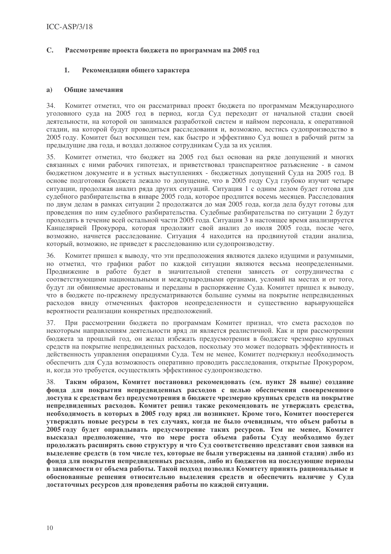#### $\mathbf{C}$ . Рассмотрение проекта бюджета по программам на 2005 год

#### $\mathbf{1}$ . Рекомендации общего характера

#### Общие замечания a)

 $34.$ Комитет отметил, что он рассматривал проект бюджета по программам Международного уголовного суда на 2005 год в период, когда Суд переходит от начальной стадии своей деятельности, на которой он занимался разработкой систем и наймом персонала, к оперативной стадии, на которой будут проводиться расследования и, возможно, вестись судопроизводство в 2005 году. Комитет был восхищен тем, как быстро и эффективно Суд вошел в рабочий ритм за предыдущие два года, и воздал должное сотрудникам Суда за их усилия.

 $35$ Комитет отметил, что бюлжет на 2005 гол был основан на ряле лопушений и многих связанных с ними рабочих гипотезах, и приветствовал транспарентное разъяснение - в самом бюджетном документе и в устных выступлениях - бюджетных допущений Суда на 2005 год. В основе подготовки бюджета лежало то допущение, что в 2005 году Суд глубоко изучит четыре ситуации, продолжая анализ ряда других ситуаций. Ситуация 1 с одним делом будет готова для судебного разбирательства в январе 2005 года, которое продлится восемь месяцев. Расследования по двум делам в рамках ситуации 2 продолжатся до мая 2005 года, когда дела будут готовы для проведения по ним судебного разбирательства. Судебные разбирательства по ситуации 2 будут проходить в течение всей остальной части 2005 года. Ситуация 3 в настоящее время анализируется Канцелярией Прокурора, которая продолжит свой анализ до июля 2005 года, после чего, возможно, начнется расследование. Ситуация 4 находится на продвинутой стадии анализа, который, возможно, не приведет к расследованию или судопроизводству.

Комитет пришел к выводу, что эти предположения являются далеко идущими и разумными,  $36.$ но отметил, что графики работ по каждой ситуации являются весьма неопределенными. Продвижение в работе будет в значительной степени зависеть от сотрудничества с соответствующими национальными и международными органами, условий на местах и от того, будут ли обвиняемые арестованы и переданы в распоряжение Суда. Комитет пришел к выводу, что в бюджете по-прежнему предусматриваются большие суммы на покрытие непредвиденных расходов ввиду отмеченных факторов неопределенности и существенно варьирующейся вероятности реализации конкретных предположений.

37. При рассмотрении бюджета по программам Комитет признал, что смета расходов по некоторым направлениям деятельности вряд ли является реалистичной. Как и при рассмотрении бюджета за прошлый год, он желал избежать предусмотрения в бюджете чрезмерно крупных средств на покрытие непредвиденных расходов, поскольку это может подорвать эффективность и действенность управления операциями Суда. Тем не менее, Комитет подчеркнул необходимость обеспечить для Суда возможность оперативно проводить расследования, открытые Прокурором, и, когда это требуется, осуществлять эффективное судопроизводство.

38 Таким образом, Комитет постановил рекомендовать (см. пункт 28 выше) создание фонда для покрытия непредвиденных расходов с целью обеспечения своевременного доступа к средствам без предусмотрения в бюджете чрезмерно крупных средств на покрытие непредвиденных расходов. Комитет решил также рекомендовать не утверждать средства, необходимость в которых в 2005 году вряд ли возникнет. Кроме того, Комитет поостерегся утверждать новые ресурсы в тех случаях, когда не было очевидным, что объем работы в 2005 году будет оправдывать предусмотрение таких ресурсов. Тем не менее, Комитет высказал предположение, что по мере роста объема работы Суду необходимо будет продолжать расширять свою структуру и что Суд соответственно представит свои заявки на выделение средств (в том числе тех, которые не были утверждены на данной стадии) либо из фонда для покрытия непредвиденных расходов, либо из бюджетов на последующие периоды в зависимости от объема работы. Такой подход позволил Комитету принять рациональные и обоснованные решения относительно выделения средств и обеспечить наличие у Суда достаточных ресурсов для проведения работы по каждой ситуации.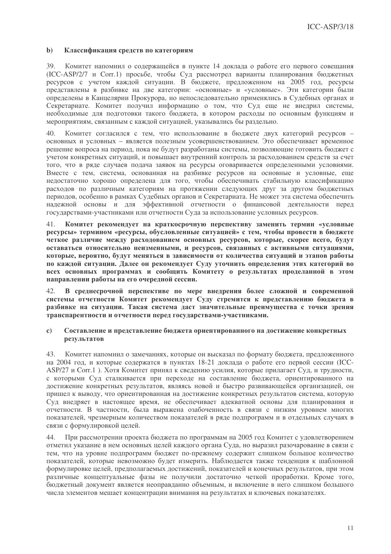#### $\mathbf{b}$ Классификация средств по категориям

39. Комитет напомнил о содержащейся в пункте 14 доклада о работе его первого совещания (ICC-ASP/2/7 и Corr.1) просьбе, чтобы Суд рассмотрел варианты планирования бюджетных ресурсов с учетом каждой ситуации. В бюджете, предложенном на 2005 год, ресурсы представлены в разбивке на две категории: «основные» и «условные». Эти категории были определены в Канцелярии Прокурора, но непоследовательно применялись в Судебных органах и Секретариате. Комитет получил информацию о том, что Суд еще не внедрил системы, необходимые для подготовки такого бюджета, в котором расходы по основным функциям и мероприятиям, связанным с каждой ситуацией, указывались бы раздельно.

 $40.$ Комитет согласился с тем, что использование в бюджете двух категорий ресурсов основных и условных - является полезным усовершенствованием. Это обеспечивает временное решение вопроса на период, пока не будут разработаны системы, позволяющие готовить бюджет с учетом конкретных ситуаций, и повышает внутренний контроль за расходованием средств за счет того, что в ряде случаев подача заявок на ресурсы оговаривается определенными условиями. Вместе с тем, система, основанная на разбивке ресурсов на основные и условные, еще недостаточно хорошо определена для того, чтобы обеспечивать стабильную классификацию расходов по различным категориям на протяжении следующих друг за другом бюджетных периодов, особенно в рамках Судебных органов и Секретариата. Не может эта система обеспечить надежной основы и для эффективной отчетности о финансовой деятельности перед государствами-участниками или отчетности Суда за использование условных ресурсов.

 $\Delta$ 1 Комитет рекомендует на краткосрочную перспективу заменить термин «условные ресурсы» термином «ресурсы, обусловленные ситуацией» с тем, чтобы провести в бюджете четкое различие между расходованием основных ресурсов, которые, скорее всего, будут оставаться относительно неизменными, и ресурсов, связанных с активными ситуациями, которые, вероятно, будут меняться в зависимости от количества ситуаций и этапов работы по каждой ситуации. Далее он рекомендует Суду уточнить определения этих категорий во всех основных программах и сообщить Комитету о результатах проделанной в этом направлении работы на его очередной сессии.

42. В среднесрочной перспективе по мере внедрения более сложной и современной системы отчетности Комитет рекомендует Суду стремится к представлению бюджета в разбивке на ситуации. Такая система даст значительные преимущества с точки зрения транспарентности и отчетности перед государствами-участниками.

#### Составление и представление бюджета ориентированного на достижение конкретных  $\mathbf{c}$ результатов

Комитет напомнил о замечаниях, которые он высказал по формату бюджета, предложенного 43. на 2004 год, и которые содержатся в пунктах 18-21 доклада о работе его первой сессии (ICC-ASP/27 и Corr.1). Хотя Комитет принял к сведению усилия, которые прилагает Суд, и трудности, с которыми Суд сталкивается при переходе на составление бюджета, ориентированного на лостижение конкретных результатов, являясь новой и быстро развивающейся организацией, он пришел к выводу, что ориентированная на достижение конкретных результатов система, которую Суд внедряет в настоящее время, не обеспечивает адекватной основы для планирования и отчетности. В частности, была выражена озабоченность в связи с низким уровнем многих показателей, чрезмерным количеством показателей в ряде подпрограмм и в отдельных случаях в связи с формулировкой целей.

При рассмотрении проекта бюджета по программам на 2005 год Комитет с удовлетворением  $44$ отметил указание в нем основных целей каждого органа Суда, но выразил разочарование в связи с тем, что на уровне подпрограмм бюджет по-прежнему содержит слишком большое количество показателей, которые невозможно будет измерить. Наблюдается также тенденция к шаблонной формулировке целей, предполагаемых достижений, показателей и конечных результатов, при этом различные концептуальные фазы не получили достаточно четкой проработки. Кроме того, бюджетный документ является неоправданно объемным, и включение в него слишком большого числа элементов мешает концентрации внимания на результатах и ключевых показателях.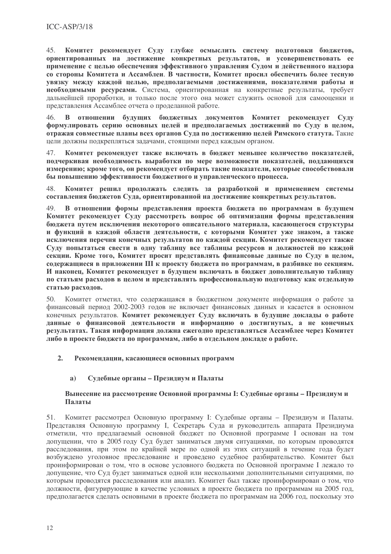Комитет рекомендует Суду глубже осмыслить систему подготовки бюджетов,  $45<sup>7</sup>$ ориентированных на достижение конкретных результатов, и усовершенствовать ее применение с целью обеспечения эффективного управления Судом и действенного надзора со стороны Комитета и Ассамблеи. В частности, Комитет просил обеспечить более тесную увязку между каждой целью, предполагаемыми достижениями, показателями работы и необходимыми ресурсами. Система, ориентированная на конкретные результаты, требует дальнейшей проработки, и только после этого она может служить основой для самооценки и представления Ассамблее отчета о проделанной работе.

В отношении будущих бюджетных документов Комитет рекомендует Суду 46. формулировать серию основных целей и предполагаемых достижений по Суду в целом, отражая совместные планы всех органов Суда по достижению целей Римского статута. Такие цели должны подкрепляться задачами, стоящими перед каждым органом.

Комитет рекомендует также включать в бюджет меньшее количество показателей, 47. подчеркивая необходимость выработки по мере возможности показателей, поддающихся измерению; кроме того, он рекомендует отбирать такие показатели, которые способствовали бы повышению эффективности бюджетного и управленческого процесса.

Комитет решил продолжать следить за разработкой и применением системы 48. составления бюджетов Суда, ориентированной на достижение конкретных результатов.

В отношении формы представления проекта бюджета по программам в будущем  $\Delta$ 9 Комитет рекомендует Суду рассмотреть вопрос об оптимизации формы представления бюджета путем исключения некоторого описательного материала, касающегося структуры и функций в каждой области деятельности, с которыми Комитет уже знаком, а также исключения перечня конечных результатов по каждой секции. Комитет рекомендует также Суду попытаться свести в одну таблицу все таблицы ресурсов и должностей по каждой секции. Кроме того, Комитет просит представлять финансовые данные по Суду в целом, содержащиеся в приложении III к проекту бюджета по программам, в разбивке по секциям. И наконец, Комитет рекомендует в будущем включать в бюджет дополнительную таблицу по статьям расходов в целом и представлять профессиональную подготовку как отдельную статью расходов.

Комитет отметил, что содержащаяся в бюджетном документе информация о работе за  $50.$ финансовый период 2002-2003 годов не включает финансовых данных и касается в основном конечных результатов. Комитет рекомендует Суду включать в будущие доклады о работе данные о финансовой деятельности и информацию о достигнутых, а не конечных результатах. Такая информация должна ежегодно представляться Ассамблее через Комитет либо в проекте бюджета по программам, либо в отдельном докладе о работе.

#### $2.$ Рекомендации, касающиеся основных программ

#### Судебные органы - Президиум и Палаты a)

### Вынесение на рассмотрение Основной программы I: Судебные органы - Президиум и Палаты

Комитет рассмотрел Основную программу І: Судебные органы - Президиум и Палаты. 51. Представляя Основную программу I, Секретарь Суда и руководитель аппарата Президиума отметили, что предлагаемый основной бюджет по Основной программе I основан на том допущении, что в 2005 году Суд будет заниматься двумя ситуациями, по которым проводятся расследования, при этом по крайней мере по одной из этих ситуаций в течение года будет возбуждено уголовное преследование и проведено судебное разбирательство. Комитет был проинформирован о том, что в основе условного бюджета по Основной программе I лежало то лопушение, что Сул булет заниматься олной или несколькими лополнительными ситуациями, по которым проволятся расследования или анализ. Комитет был также проинформирован о том, что должности, фигурирующие в качестве условных в проекте бюджета по программам на 2005 год, предполагается следать основными в проекте бюлжета по программам на 2006 год, поскольку это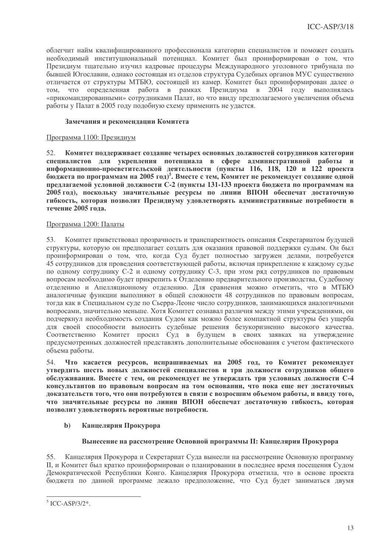облегчит найм квалифицированного профессионала категории специалистов и поможет создать необходимый институциональный потенциал. Комитет был проинформирован о том, что Президиум тщательно изучил кадровые процедуры Международного уголовного трибунала по бывшей Югославии, однако состоящая из отделов структура Судебных органов МУС существенно отличается от структуры МТБЮ, состоящей из камер. Комитет был проинформирован далее о определенная работа в рамках Президиума в 2004 году выполнялась TOM, что «прикомандированными» сотрудниками Палат, но что ввиду предполагаемого увеличения объема работы у Палат в 2005 году подобную схему применить не удастся.

# Замечания и рекомендации Комитета

# Программа 1100: Президиум

Комитет поддерживает создание четырех основных должностей сотрудников категории 52. специалистов для укрепления потенциала в сфере административной работы и информационно-просветительской деятельности (пункты 116, 118, 120 и 122 проекта бюджета по программам на 2005 год)<sup>5</sup>. Вместе с тем, Комитет не рекомендует создание одной предлагаемой условной должности С-2 (пункты 131-133 проекта бюджета по программам на 2005 год), поскольку значительные ресурсы по линии ВПОН обеспечат достаточную гибкость, которая позволит Президиуму удовлетворять административные потребности в течение 2005 года.

# Программа 1200: Палаты

Комитет приветствовал прозрачность и транспарентность описания Секретариатом будущей 53. структуры, которую он предполагает создать для оказания правовой поддержки судьям. Он был проинформирован о том, что, когда Суд будет полностью загружен делами, потребуется 45 сотрудников для проведения соответствующей работы, включая прикрепление к каждому судье по одному сотруднику С-2 и одному сотруднику С-3, при этом ряд сотрудников по правовым вопросам необходимо будет прикрепить к Отделению предварительного производства, Судебному отделению и Апелляционному отделению. Для сравнения можно отметить, что в МТБЮ аналогичные функции выполняют в общей сложности 48 сотрудников по правовым вопросам, тогда как в Специальном суде по Сьерра-Леоне число сотрудников, занимающихся аналогичными вопросами, значительно меньше. Хотя Комитет сознавал различия между этими учреждениями, он подчеркнул необходимость создания Судом как можно более компактной структуры без ущерба для своей способности выносить судебные решения безукоризненно высокого качества. Соответственно Комитет просил Суд в будущем в своих заявках на утверждение предусмотренных должностей представлять дополнительные обоснования с учетом фактического объема работы.

54. Что касается ресурсов, испрашиваемых на 2005 год, то Комитет рекомендует утвердить шесть новых должностей специалистов и три должности сотрудников общего обслуживания. Вместе с тем, он рекомендует не утверждать три условных должности С-4 консультантов по правовым вопросам на том основании, что пока еще нет лостаточных доказательств того, что они потребуются в связи с возросшим объемом работы, и ввиду того, что значительные ресурсы по линии ВПОН обеспечат достаточную гибкость, которая позволит удовлетворять вероятные потребности.

#### $\mathbf{b}$ Канцелярия Прокурора

# Вынесение на рассмотрение Основной программы II: Канцелярия Прокурора

Канцелярия Прокурора и Секретариат Суда вынесли на рассмотрение Основную программу 55. II, и Комитет был кратко проинформирован о планировании в последнее время посещения Судом Демократической Республики Конго. Канцелярия Прокурора отметила, что в основе проекта бюджета по данной программе лежало предположение, что Суд будет заниматься двумя

 $5$  ICC-ASP/3/2\*.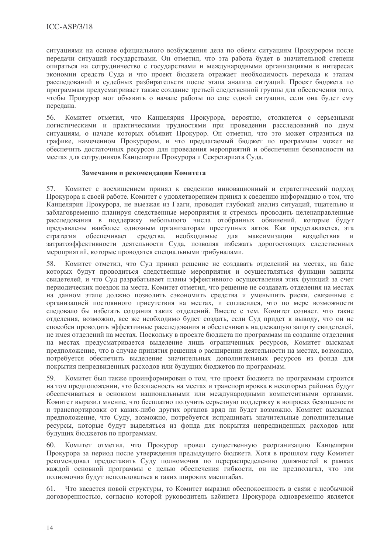ситуациями на основе официального возбуждения дела по обеим ситуациям Прокурором после передачи ситуаций государствами. Он отметил, что эта работа будет в значительной степени опираться на сотрудничество с государствами и международными организациями в интересах экономии средств Суда и что проект бюджета отражает необходимость перехода к этапам расследований и судебных разбирательств после этапа анализа ситуаций. Проект бюджета по программам предусматривает также создание третьей следственной группы для обеспечения того, чтобы Прокурор мог объявить о начале работы по еще одной ситуации, если она будет ему передана.

Комитет отметил, что Канцелярия Прокурора, вероятно, столкнется с серьезными 56. логистическими и практическими трудностями при проведении расследований по двум ситуациям, о начале которых объявит Прокурор. Он отметил, что это может отразиться на графике, намеченном Прокурором, и что предлагаемый бюджет по программам может не обеспечить достаточных ресурсов для проведения мероприятий и обеспечения безопасности на местах для сотрудников Канцелярии Прокурора и Секретариата Суда.

### Замечания и рекомендации Комитета

Комитет с восхищением принял к сведению инновационный и стратегический подход 57. Прокурора к своей работе. Комитет с удовлетворением принял к сведению информацию о том, что Канцелярия Прокурора, не выезжая из Гааги, проводит глубокий анализ ситуаций, тщательно и заблаговременно планируя следственные мероприятия и стремясь проводить целенаправленные расследования в поддержку небольшого числа отобранных обвинений, которые будут предъявлены наиболее одиозным организаторам преступных актов. Как представляется, эта стратегия обеспечивает средства, необходимые для максимизации воздействия  $\mathbf{M}$ затратоэффективности деятельности Суда, позволяя избежать дорогостоящих следственных мероприятий, которые проводятся специальными трибуналами.

Комитет отметил, что Суд принял решение не создавать отделений на местах, на базе 58. которых будут проводиться следственные мероприятия и осуществляться функции защиты свидетелей, и что Суд разрабатывает планы эффективного осуществления этих функций за счет периодических поездок на места. Комитет отметил, что решение не создавать отделения на местах на данном этапе должно позволить сэкономить средства и уменьшить риски, связанные с организацией постоянного присутствия на местах, и согласился, что по мере возможности следовало бы избегать создания таких отделений. Вместе с тем, Комитет сознает, что такие отделения, возможно, все же необходимо будет создать, если Суд придет к выводу, что он не способен проводить эффективные расследования и обеспечивать надлежащую защиту свидетелей, не имея отделений на местах. Поскольку в проекте бюджета по программам на создание отделения на местах предусматривается выделение лишь ограниченных ресурсов. Комитет высказал предположение, что в случае принятия решения о расширении деятельности на местах, возможно, потребуется обеспечить выделение значительных дополнительных ресурсов из фонда для покрытия непредвиденных расходов или будущих бюджетов по программам.

Комитет был также проинформирован о том, что проект бюджета по программам строится 59. на том прелположении, что безопасность на местах и транспортировка в некоторых районах булут обеспечиваться в основном национальными или международными компетентными органами. Комитет выразил мнение, что бесплатно получить серьезную поддержку в вопросах безопасности и транспортировки от каких-либо других органов вряд ли будет возможно. Комитет высказал предположение, что Суду, возможно, потребуется испрашивать значительные дополнительные ресурсы, которые будут выделяться из фонда для покрытия непредвиденных расходов или будущих бюджетов по программам.

Комитет отметил, что Прокурор провел существенную реорганизацию Канцелярии 60 Прокурора за период после утверждения предыдущего бюджета. Хотя в прошлом году Комитет рекомендовал предоставить Суду полномочия по перераспределению должностей в рамках каждой основной программы с целью обеспечения гибкости, он не предполагал, что эти полномочия будут использоваться в таких широких масштабах.

Что касается новой структуры, то Комитет выразил обеспокоенность в связи с необычной 61 логоворенностью, согласно которой руковолитель кабинета Прокурора одновременно является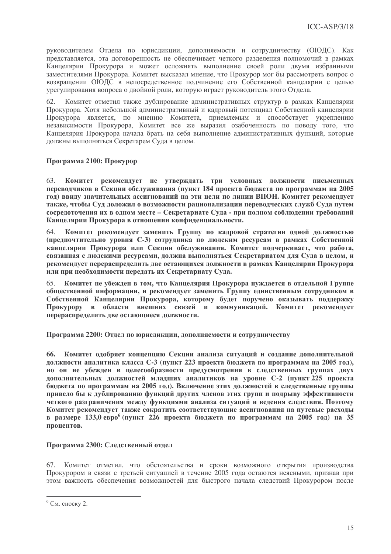руководителем Отдела по юрисдикции, дополняемости и сотрудничеству (ОЮДС). Как представляется, эта договоренность не обеспечивает четкого разделения полномочий в рамках Канцелярии Прокурора и может осложнять выполнение своей роли двумя избранными заместителями Прокурора. Комитет высказал мнение, что Прокурор мог бы рассмотреть вопрос о возвращении ОЮДС в непосредственное подчинение его Собственной канцелярии с целью урегулирования вопроса о двойной роли, которую играет руководитель этого Отдела.

Комитет отметил также дублирование административных структур в рамках Канцелярии Прокурора. Хотя небольшой административный и кадровый потенциал Собственной канцелярии Прокурора является, по мнению Комитета, приемлемым и способствует укреплению независимости Прокурора, Комитет все же выразил озабоченность по поводу того, что Канцелярия Прокурора начала брать на себя выполнение административных функций, которые должны выполняться Секретарем Суда в целом.

# Программа 2100: Прокурор

Комитет рекомендует не утверждать три условных должности письменных 63. переводчиков в Секции обслуживания (пункт 184 проекта бюджета по программам на 2005 год) ввиду значительных ассигнований на эти цели по линии ВПОН. Комитет рекомендует также, чтобы Суд доложил о возможности рационализации переводческих служб Суда путем сосредоточения их в одном месте - Секретариате Суда - при полном соблюдении требований Канцелярии Прокурора в отношении конфиденциальности.

Комитет рекомендует заменить Группу по кадровой стратегии одной должностью 64. (предпочтительно уровня С-3) сотрудника по людским ресурсам в рамках Собственной канцелярии Прокурора или Секции обслуживания. Комитет подчеркивает, что работа, связанная с людскими ресурсами, должна выполняться Секретариатом для Суда в целом, и рекомендует перераспределить две остающихся должности в рамках Канцелярии Прокурора или при необходимости передать их Секретариату Суда.

65. Комитет не убежден в том, что Канцелярия Прокурора нуждается в отдельной Группе общественной информации, и рекомендует заменить Группу единственным сотрудником в Собственной Канцелярии Прокурора, которому будет поручено оказывать поддержку Прокурору в области внешних связей и коммуникаций. Комитет рекомендует перераспределить две остающиеся должности.

Программа 2200: Отдел по юрисдикции, дополняемости и сотрудничеству

66. Комитет одобряет концепцию Секции анализа ситуаций и создание дополнительной должности аналитика класса С-3 (пункт 223 проекта бюджета по программам на 2005 год), но он не убежден в целесообразности предусмотрения в следственных группах двух дополнительных должностей младших аналитиков на уровне С-2 (пункт 225 проекта бюлжета по программам на 2005 гол). Включение этих лолжностей в слелственные группы привело бы к дублированию функций других членов этих групп и подрыву эффективности четкого разграничения между функциями анализа ситуаций и ведения следствия. Поэтому Комитет рекомендует также сократить соответствующие ассигнования на путевые расходы в размере 133,0 евро<sup>6</sup> (пункт 226 проекта бюджета по программам на 2005 год) на 35 процентов.

# Программа 2300: Следственный отдел

67. Комитет отметил, что обстоятельства и сроки возможного открытия производства Прокурором в связи с третьей ситуацией в течение 2005 года остаются неясными, признав при этом важность обеспечения возможностей для быстрого начала следствий Прокурором после

 $6$  См. сноску 2.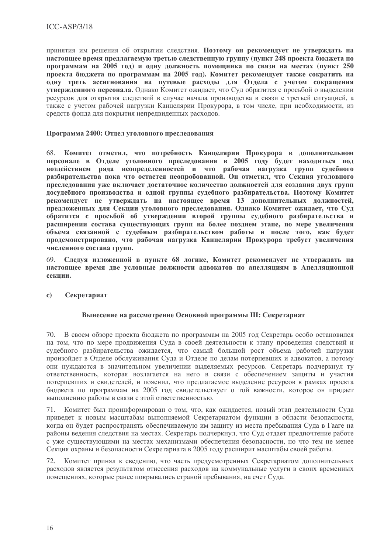принятия им решения об открытии следствия. Поэтому он рекомендует не утверждать на настоящее время предлагаемую третью следственную группу (пункт 248 проекта бюджета по программам на 2005 год) и одну должность помощника по связи на местах (пункт 250 проекта бюджета по программам на 2005 год). Комитет рекомендует также сократить на одну треть ассигнования на путевые расходы для Отдела с учетом сокращения утвержденного персонала. Однако Комитет ожидает, что Суд обратится с просьбой о выделении ресурсов для открытия следствий в случае начала производства в связи с третьей ситуацией, а также с учетом рабочей нагрузки Канцелярии Прокурора, в том числе, при необходимости, из средств фонда для покрытия непредвиденных расходов.

## Программа 2400: Отдел уголовного преследования

68. Комитет отметил, что потребность Канцелярии Прокурора в дополнительном персонале в Отделе уголовного преследования в 2005 году будет находиться под воздействием ряда неопределенностей и что рабочая нагрузка групп судебного разбирательства пока что остается неопробованной. Он отметил, что Секция уголовного преследования уже включает достаточное количество должностей для создания двух групп досудебного производства и одной группы судебного разбирательства. Поэтому Комитет рекомендует не утверждать на настоящее время 13 дополнительных должностей, предложенных для Секции уголовного преследования. Однако Комитет ожидает, что Суд обратится с просьбой об утверждении второй группы судебного разбирательства и расширении состава существующих групп на более позднем этапе, по мере увеличения объема связанной с судебным разбирательством работы и после того, как будет продемонстрировано, что рабочая нагрузка Канцелярии Прокурора требует увеличения численного состава групп.

Следуя изложенной в пункте 68 логике, Комитет рекомендует не утверждать на 69. настоящее время две условные должности адвокатов по апелляциям в Апелляционной секнии.

Секретариат  $\mathbf{c}$ 

# Вынесение на рассмотрение Основной программы III: Секретариат

70. В своем обзоре проекта бюджета по программам на 2005 год Секретарь особо остановился на том, что по мере продвижения Суда в своей деятельности к этапу проведения следствий и судебного разбирательства ожидается, что самый большой рост объема рабочей нагрузки произойдет в Отделе обслуживания Суда и Отделе по делам потерпевших и адвокатов, а потому они нуждаются в значительном увеличении выделяемых ресурсов. Секретарь подчеркнул ту ответственность, которая возлагается на него в связи с обеспечением защиты и участия потерпевших и свидетелей, и пояснил, что предлагаемое выделение ресурсов в рамках проекта бюджета по программам на 2005 год свидетельствует о той важности, которое он придает выполнению работы в связи с этой ответственностью.

71. Комитет был проинформирован о том, что, как ожидается, новый этап деятельности Суда приведет к новым масштабам выполняемой Секретариатом функции в области безопасности, когда он будет распространять обеспечиваемую им защиту из места пребывания Суда в Гааге на районы ведения следствия на местах. Секретарь подчеркнул, что Суд отдает предпочтение работе с уже существующими на местах механизмами обеспечения безопасности, но что тем не менее Секция охраны и безопасности Секретариата в 2005 году расширит масштабы своей работы.

72. Комитет принял к сведению, что часть предусмотренных Секретариатом дополнительных расходов является результатом отнесения расходов на коммунальные услуги в своих временных помещениях, которые ранее покрывались страной пребывания, на счет Суда.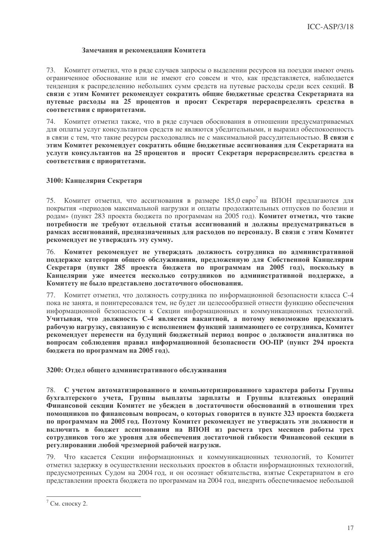### Замечания и рекомендации Комитета

73. Комитет отметил, что в ряде случаев запросы о выделении ресурсов на поездки имеют очень ограниченное обоснование или не имеют его совсем и что, как представляется, наблюдается тенденция к распределению небольших сумм средств на путевые расходы среди всех секций. В связи с этим Комитет рекомендует сократить общие бюджетные средства Секретариата на путевые расходы на 25 процентов и просит Секретаря перераспределить средства в соответствии с приоритетами.

Комитет отметил также, что в ряде случаев обоснования в отношении предусматриваемых 74. для оплаты услуг консультантов средств не являются убедительными, и выразил обеспокоенность в связи с тем, что такие ресурсы расходовались не с максимальной рассудительностью. В связи с этим Комитет рекомендует сократить общие бюджетные ассигнования для Секретариата на услуги консультантов на 25 процентов и просит Секретаря перераспределить средства в соответствии с приоритетами.

### 3100: Канцелярия Секретаря

75. Комитет отметил, что ассигнования в размере 185,0 евро<sup>7</sup> на ВПОН предлагаются для покрытия «периодов максимальной нагрузки и оплаты продолжительных отпусков по болезни и родам» (пункт 283 проекта бюджета по программам на 2005 год). Комитет отметил, что такие потребности не требуют отдельной статьи ассигнований и должны предусматриваться в рамках ассигнований, предназначенных для расходов по персоналу. В связи с этим Комитет рекомендует не утверждать эту сумму.

76 Комитет рекомендует не утверждать должность сотрудника по административной поддержке категории общего обслуживания, предложенную для Собственной Канцелярии Секретаря (пункт 285 проекта бюджета по программам на 2005 год), поскольку в Канцелярии уже имеется несколько сотрудников по административной поддержке, а Комитету не было представлено достаточного обоснования.

77. Комитет отметил, что должность сотрудника по информационной безопасности класса С-4 пока не занята, и поинтересовался тем, не будет ли целесообразней отнести функцию обеспечения информационной безопасности к Секции информационных и коммуникационных технологий. Учитывая, что должность С-4 является вакантной, а потому невозможно предсказать рабочую нагрузку, связанную с исполнением функций занимающего ее сотрудника, Комитет рекомендует перенести на будущий бюджетный период вопрос о должности аналитика по вопросам соблюдения правил информационной безопасности ОО-ПР (пункт 294 проекта бюджета по программам на 2005 год).

3200: Отдел общего административного обслуживания

С учетом автоматизированного и компьютеризированного характера работы Группы 78. бухгалтерского учета, Группы выплаты зарплаты и Группы платежных операций Финансовой секции Комитет не убежден в достаточности обоснований в отношении трех помощников по финансовым вопросам, о которых говорится в пункте 323 проекта бюджета по программам на 2005 год. Поэтому Комитет рекомендует не утверждать эти должности и включить в бюджет ассигнования на ВПОН из расчета трех месяцев работы трех сотрудников того же уровня для обеспечения достаточной гибкости Финансовой секции в регулировании любой чрезмерной рабочей нагрузки.

79. Что касается Секции информационных и коммуникационных технологий, то Комитет отметил задержку в осуществлении нескольких проектов в области информационных технологий, прелусмотренных Сулом на 2004 год, и он осознает обязательства, взятые Секретариатом в его представлении проекта бюджета по программам на 2004 год, внедрить обеспечиваемое небольшой

 $7$  См. сноску 2.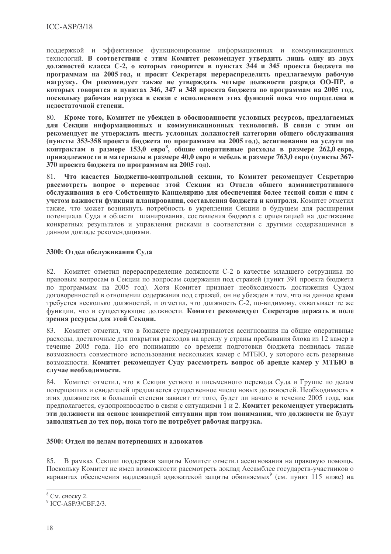поддержкой и эффективное функционирование информационных и коммуникационных технологий. В соответствии с этим Комитет рекомендует утвердить лишь одну из двух должностей класса С-2, о которых говорится в пунктах 344 и 345 проекта бюджета по программам на 2005 год, и просит Секретаря перераспределить предлагаемую рабочую нагрузку. Он рекомендует также не утверждать четыре должности разряда ОО-ПР, о которых говорится в пунктах 346, 347 и 348 проекта бюджета по программам на 2005 год, поскольку рабочая нагрузка в связи с исполнением этих функций пока что определена в нелостаточной степени.

Кроме того, Комитет не убежден в обоснованности условных ресурсов, предлагаемых 80 для Секции информационных и коммуникационных технологий. В связи с этим он рекомендует не утверждать шесть условных должностей категории общего обслуживания (пункты 353-358 проекта бюджета по программам на 2005 год), ассигнования на услуги по контрактам в размере 153,0 евро<sup>8</sup>, общие оперативные расходы в размере 262,0 евро, принадлежности и материалы в размере 40,0 евро и мебель в размере 763,0 евро (пункты 367-370 проекта бюджета по программам на 2005 год).

Что касается Бюджетно-контрольной секции, то Комитет рекомендует Секретарю 81 рассмотреть вопрос о переводе этой Секции из Отдела общего административного обслуживания в его Собственную Канцелярию для обеспечения более тесной связи с ним с учетом важности функции планирования, составления бюджета и контроля. Комитет отметил также, что может возникнуть потребность в укреплении Секции в будущем для расширения потенциала Суда в области планирования, составления бюджета с ориентацией на достижение конкретных результатов и управления рисками в соответствии с другими содержащимися в данном докладе рекомендациями.

# 3300: Отдел обслуживания Суда

Комитет отметил перераспределение должности С-2 в качестве младшего сотрудника по 82. правовым вопросам в Секции по вопросам содержания под стражей (пункт 391 проекта бюджета по программам на 2005 год). Хотя Комитет признает необходимость достижения Судом договоренностей в отношении содержания под стражей, он не убежден в том, что на данное время требуется несколько должностей, и отметил, что должность С-2, по-видимому, охватывает те же функции, что и существующие должности. Комитет рекомендует Секретарю держать в поле зрения ресурсы для этой Секции.

83. Комитет отметил, что в бюджете предусматриваются ассигнования на общие оперативные расходы, достаточные для покрытия расходов на аренду у страны пребывания блока из 12 камер в течение 2005 года. По его пониманию со времени подготовки бюджета появилась также возможность совместного использования нескольких камер с МТБЮ, у которого есть резервные возможности. Комитет рекомендует Суду рассмотреть вопрос об аренде камер у МТБЮ в случае необходимости.

84. Комитет отметил, что в Секции устного и письменного перевода Суда и Группе по делам потерпевших и свидетелей предлагается существенное число новых должностей. Необходимость в этих должностях в большой степени зависит от того, будет ли начато в течение 2005 года, как предполагается, судопроизводство в связи с ситуациями 1 и 2. Комитет рекомендует утверждать эти должности на основе конкретной ситуации при том понимании, что должности не будут заполняться до тех пор, пока того не потребует рабочая нагрузка.

# 3500: Отдел по делам потерпевших и адвокатов

85. В рамках Секции поддержки защиты Комитет отметил ассигнования на правовую помощь. Поскольку Комитет не имел возможности рассмотреть доклад Ассамблее государств-участников о вариантах обеспечения надлежащей адвокатской защиты обвиняемых<sup>9</sup> (см. пункт 115 ниже) на

 $8$  См. сноску 2.

 $9$  ICC-ASP/3/CBF.2/3.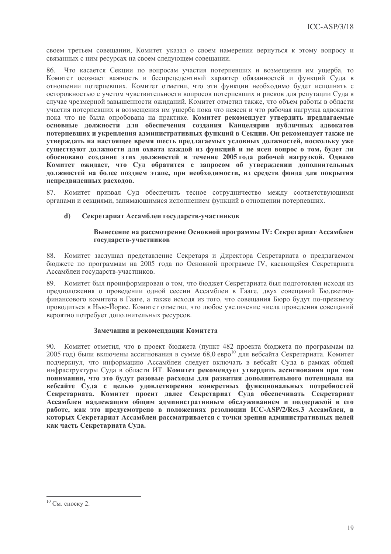своем третьем совещании, Комитет указал о своем намерении вернуться к этому вопросу и связанных с ним ресурсах на своем следующем совещании.

86. Что касается Секции по вопросам участия потерпевших и возмещения им ушерба. то Комитет осознает важность и беспрецедентный характер обязанностей и функций Суда в отношении потерпевших. Комитет отметил, что эти функции необходимо будет исполнять с осторожностью с учетом чувствительности вопросов потерпевших и рисков для репутации Суда в случае чрезмерной завышенности ожиданий. Комитет отметил также, что объем работы в области участия потерпевших и возмещения им ущерба пока что неясен и что рабочая нагрузка адвокатов пока что не была опробована на практике. Комитет рекомендует утвердить предлагаемые основные должности для обеспечения создания Канцелярии публичных адвокатов потерпевших и укрепления административных функций в Секции. Он рекомендует также не утверждать на настоящее время шесть предлагаемых условных должностей, поскольку уже существуют должности для охвата каждой из функций и не ясен вопрос о том, будет ли обосновано создание этих должностей в течение 2005 года рабочей нагрузкой. Однако Комитет ожидает, что Суд обратится с запросом об утверждении дополнительных должностей на более позднем этапе, при необходимости, из средств фонда для покрытия непредвиденных расходов.

Комитет призвал Суд обеспечить тесное сотрудничество между соответствующими 87. органами и секциями, занимающимися исполнением функций в отношении потерпевших.

#### $\mathbf{d}$ Секретариат Ассамблеи государств-участников

## Вынесение на рассмотрение Основной программы IV: Секретариат Ассамблеи государств-участников

88. Комитет заслушал представление Секретаря и Директора Секретариата о предлагаемом бюджете по программам на 2005 года по Основной программе IV, касающейся Секретариата Ассамблеи государств-участников.

 $89$ Комитет был проинформирован о том, что бюджет Секретариата был подготовлен исходя из предположения о проведении одной сессии Ассамблеи в Гааге, двух совещаний Бюджетнофинансового комитета в Гааге, а также исходя из того, что совещания Бюро будут по-прежнему проводиться в Нью-Йорке. Комитет отметил, что любое увеличение числа проведения совещаний вероятно потребует дополнительных ресурсов.

# Замечания и рекомендации Комитета

90. Комитет отметил, что в проект бюджета (пункт 482 проекта бюджета по программам на 2005 год) были включены ассигнования в сумме 68,0 евро<sup>10</sup> для вебсайта Секретариата. Комитет подчеркнул, что информацию Ассамблеи следует включать в вебсайт Суда в рамках общей инфраструктуры Суда в области ИТ. Комитет рекомендует утвердить ассигнования при том понимании, что это будут разовые расходы для развития дополнительного потенциала на вебсайте Суда с целью удовлетворения конкретных функциональных потребностей Секретариата. Комитет просит далее Секретариат Суда обеспечивать Секретариат Ассамблеи надлежащим общим административным обслуживанием и поддержкой в его работе, как это предусмотрено в положениях резолюции ICC-ASP/2/Res.3 Ассамблеи, в которых Секретариат Ассамблеи рассматривается с точки зрения административных целей как часть Секретариата Суда.

 $10$  См. сноску 2.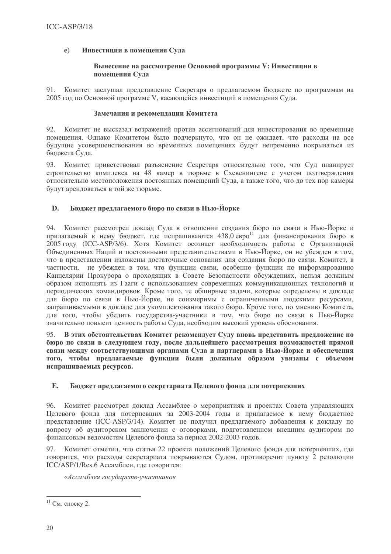#### $e)$ Инвестиции в помещения Суда

### Вынесение на рассмотрение Основной программы V: Инвестиции в помещения Суда

91. Комитет заслушал представление Секретаря о предлагаемом бюджете по программам на 2005 год по Основной программе V, касающейся инвестиций в помещения Суда.

## Замечания и рекомендации Комитета

92. Комитет не высказал возражений против ассигнований для инвестирования во временные помещения. Однако Комитетом было подчеркнуто, что он не ожидает, что расходы на все будущие усовершенствования во временных помещениях будут непременно покрываться из бюджета Суда.

Комитет приветствовал разъяснение Секретаря относительно того, что Суд планирует 93 строительство комплекса на 48 камер в тюрьме в Схевенингене с учетом подтверждения относительно местоположения постоянных помещений Суда, а также того, что до тех пор камеры будут арендоваться в той же тюрьме.

#### D. Бюджет предлагаемого бюро по связи в Нью-Йорке

94. Комитет рассмотрел доклад Суда в отношении создания бюро по связи в Нью-Йорке и прилагаемый к нему бюджет, где испрашиваются 438,0 евро<sup>11</sup> для финансирования бюро в 2005 году (ICC-ASP/3/6). Хотя Комитет осознает необходимость работы с Организацией Объединенных Наций и постоянными представительствами в Нью-Йорке, он не убежден в том, что в представлении изложены достаточные основания для создания бюро по связи. Комитет, в частности, не убежден в том, что функции связи, особенно функции по информированию Канцелярии Прокурора о проходящих в Совете Безопасности обсуждениях, нельзя должным образом исполнять из Гааги с использованием современных коммуникационных технологий и периодических командировок. Кроме того, те обширные задачи, которые определены в докладе для бюро по связи в Нью-Йорке, не соизмеримы с ограниченными людскими ресурсами, запрашиваемыми в докладе для укомплектования такого бюро. Кроме того, по мнению Комитета, для того, чтобы убедить государства-участники в том, что бюро по связи в Нью-Йорке значительно повысит ценность работы Суда, необходим высокий уровень обоснования.

В этих обстоятельствах Комитет рекомендует Суду вновь представить предложение по бюро по связи в следующем году, после дальнейшего рассмотрения возможностей прямой связи между соответствующими органами Суда и партнерами в Нью-Йорке и обеспечения того, чтобы предлагаемые функции были должным образом увязаны с объемом испрашиваемых ресурсов.

#### Бюджет предлагаемого секретариата Целевого фонда для потерпевших  $E_{\bullet}$

96. Комитет рассмотрел доклад Ассамблее о мероприятиях и проектах Совета управляющих Целевого фонда для потерпевших за 2003-2004 годы и прилагаемое к нему бюджетное представление (ICC-ASP/3/14). Комитет не получил предлагаемого добавления к докладу по вопросу об аудиторском заключении с оговорками, подготовленном внешним аудитором по финансовым ведомостям Целевого фонда за период 2002-2003 годов.

97. Комитет отметил, что статья 22 проекта положений Целевого фонда для потерпевших, где говорится, что расходы секретариата покрываются Судом, противоречит пункту 2 резолюции ICC/ASP/1/Res.6 Ассамблеи, где говорится:

«Ассамблея государств-участников

<sup>&</sup>lt;sup>11</sup> См. сноску 2.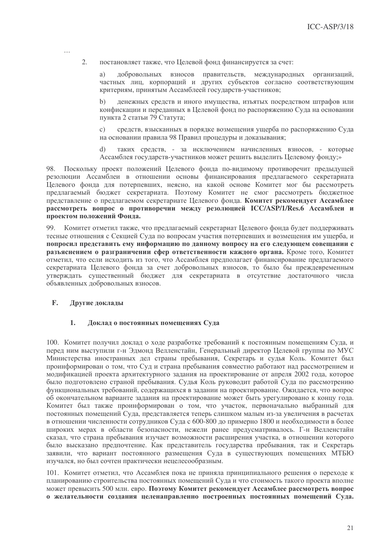$\overline{2}$ . постановляет также, что Целевой фонд финансируется за счет:

добровольных взносов правительств, a) международных организаций, частных лиц, корпораций и других субъектов согласно соответствующим критериям, принятым Ассамблеей государств-участников;

денежных средств и иного имущества, изъятых посредством штрафов или конфискации и переданных в Целевой фонд по распоряжению Суда на основании пункта 2 статьи 79 Статута;

средств, взысканных в порядке возмещения ущерба по распоряжению Суда  $\mathcal{C}$ ) на основании правила 98 Правил процедуры и доказывания;

таких средств, - за исключением начисленных взносов, - которые  $\mathbf{d}$ Ассамблея государств-участников может решить выделить Целевому фонду;»

98. Поскольку проект положений Целевого фонда по-видимому противоречит предыдущей резолюции Ассамблеи в отношении основы финансирования предлагаемого секретариата Пелевого фонда для потерпевших, неясно, на какой основе Комитет мог бы рассмотреть предлагаемый бюджет секретариата. Поэтому Комитет не смог рассмотреть бюджетное представление о предлагаемом секретариате Целевого фонда. Комитет рекомендует Ассамблее рассмотреть вопрос о противоречии между резолюцией ICC/ASP/1/Res.6 Ассамблеи и проектом положений Фонда.

99. Комитет отметил также, что предлагаемый секретариат Целевого фонда будет поддерживать тесные отношения с Секцией Суда по вопросам участия потерпевших и возмещения им ущерба, и попросил представить ему информацию по данному вопросу на его следующем совещании с разъяснением о разграничении сфер ответственности каждого органа. Кроме того, Комитет отметил, что если исходить из того, что Ассамблея предполагает финансирование предлагаемого секретариата Целевого фонда за счет добровольных взносов, то было бы преждевременным утверждать существенный бюджет для секретариата в отсутствие достаточного числа объявленных добровольных взносов.

#### F. Другие доклады

#### $\mathbf{1}$ . Доклад о постоянных помещениях Суда

100. Комитет получил доклад о ходе разработке требований к постоянным помещениям Суда, и перед ним выступили г-н Эдмонд Велленстайн, Генеральный директор Целевой группы по МУС Министерства иностранных дел страны пребывания, Секретарь и судья Коль. Комитет был проинформирован о том, что Суд и страна пребывания совместно работают над рассмотрением и модификацией проекта архитектурного задания на проектирование от апреля 2002 года, которое было подготовлено страной пребывания. Судья Коль руководит работой Суда по рассмотрению функциональных требований, содержащихся в задании на проектирование. Ожидается, что вопрос об окончательном варианте задания на проектирование может быть урегулировано к концу года. Комитет был также проинформирован о том, что участок, первоначально выбранный для постоянных помещений Суда, представляется теперь слишком малым из-за увеличения в расчетах в отношении численности сотрудников Суда с 600-800 до примерно 1800 и необходимости в более широких мерах в области безопасности, нежели ранее предусматривалось. Г-н Велленстайн сказал, что страна пребывания изучает возможности расширения участка, в отношении которого было высказано предпочтение. Как представитель государства пребывания, так и Секретарь заявили, что вариант постоянного размещения Суда в существующих помещениях МТБЮ изучался, но был сочтен практически нецелесообразным.

101. Комитет отметил, что Ассамблея пока не приняла принципиального решения о переходе к планированию строительства постоянных помещений Суда и что стоимость такого проекта вполне может превысить 500 млн. евро. Поэтому Комитет рекомендует Ассамблее рассмотреть вопрос о желательности созлания целенаправленно построенных постоянных помещений Сула.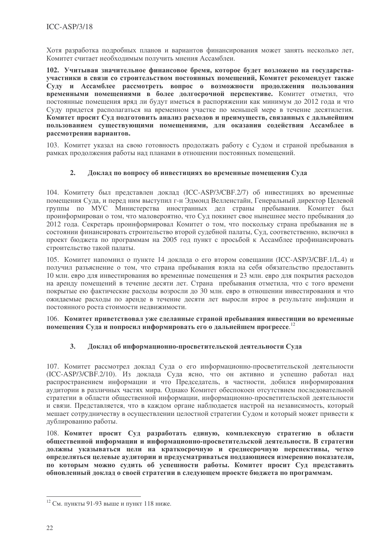Хотя разработка подробных планов и вариантов финансирования может занять несколько лет, Комитет считает необходимым получить мнения Ассамблеи.

102. Учитывая значительное финансовое бремя, которое будет возложено на государстваучастники в связи со строительством постоянных помещений, Комитет рекомендует также Суду и Ассамблее рассмотреть вопрос о возможности продолжения пользования временными помещениями в более долгосрочной перспективе. Комитет отметил, что постоянные помещения вряд ли будут иметься в распоряжении как минимум до 2012 года и что Суду придется располагаться на временном участке по меньшей мере в течение десятилетия. Комитет просит Суд подготовить анализ расходов и преимуществ, связанных с дальнейшим пользованием существующими помещениями, для оказания содействия Ассамблее в рассмотрении вариантов.

103. Комитет указал на свою готовность продолжать работу с Судом и страной пребывания в рамках продолжения работы над планами в отношении постоянных помещений.

#### $2.$ Доклад по вопросу об инвестициях во временные помещения Суда

104. Комитету был представлен доклад (ICC-ASP/3/CBF.2/7) об инвестициях во временные помещения Суда, и перед ним выступил г-н Эдмонд Велленстайн, Генеральный директор Целевой группы по МУС Министерства иностранных дел страны пребывания. Комитет был проинформирован о том, что маловероятно, что Суд покинет свое нынешнее место пребывания до 2012 года. Секретарь проинформировал Комитет о том, что поскольку страна пребывания не в состоянии финансировать строительство второй судебной палаты, Суд, соответственно, включил в проект бюджета по программам на 2005 год пункт с просьбой к Ассамблее профинансировать строительство такой палаты.

105. Комитет напомнил о пункте 14 доклада о его втором совещании (ICC-ASP/3/CBF.1/L.4) и получил разъяснение о том, что страна пребывания взяла на себя обязательство предоставить 10 млн. евро для инвестирования во временные помещения и 23 млн. евро для покрытия расходов на аренду помещений в течение десяти лет. Страна пребывания отметила, что с того времени покрытые ею фактические расходы возросли до 30 млн. евро в отношении инвестирования и что ожидаемые расходы по аренде в течение десяти лет выросли втрое в результате инфляции и постоянного роста стоимости недвижимости.

106. Комитет приветствовал уже сделанные страной пребывания инвестиции во временные помещения Суда и попросил информировать его о дальнейшем прогрессе.<sup>12</sup>

#### $3.$ Доклад об информационно-просветительской деятельности Суда

107. Комитет рассмотрел доклад Суда о его информационно-просветительской деятельности (ICC-ASP/3/CBF.2/10). Из доклада Суда ясно, что он активно и успешно работал над распространением информации и что Председатель, в частности, добился информирования аудитории в различных частях мира. Однако Комитет обеспокоен отсутствием последовательной стратегии в области общественной информации, информационно-просветительской деятельности и связи. Представляется, что в каждом органе наблюдается настрой на независимость, который мешает сотрудничеству в осуществлении целостной стратегии Судом и который может привести к дублированию работы.

108. Комитет просит Суд разработать единую, комплексную стратегию в области общественной информации и информационно-просветительской деятельности. В стратегии должны указываться цели на краткосрочную и среднесрочную перспективы, четко определяться целевые аудитории и предусматриваться поддающиеся измерению показатели, по которым можно судить об успешности работы. Комитет просит Суд представить обновленный доклад о своей стратегии в следующем проекте бюджета по программам.

<sup>&</sup>lt;sup>12</sup> См. пункты 91-93 выше и пункт 118 ниже.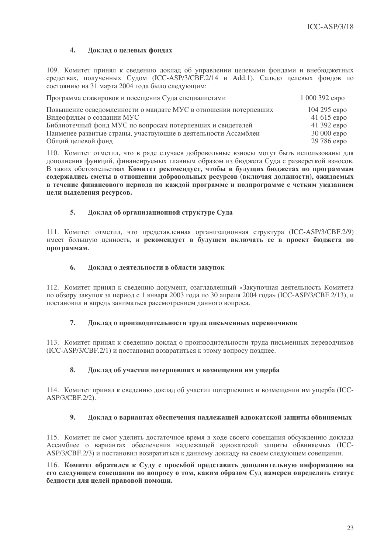#### $\overline{4}$ . Доклад о целевых фондах

109. Комитет принял к сведению доклад об управлении целевыми фондами и внебюджетных средствах, полученных Судом (ICC-ASP/3/CBF.2/14 и Add.1). Сальдо целевых фондов по состоянию на 31 марта 2004 года было следующим:

| Программа стажировок и посещения Суда специалистами             | 1 000 392 евро |
|-----------------------------------------------------------------|----------------|
| Повышение осведомленности о мандате МУС в отношении потерпевших | 104 295 евро   |
| Видеофильм о создании МУС                                       | $41615$ ebpo   |
| Библиотечный фонд МУС по вопросам потерпевших и свидетелей      | 41 392 евро    |
| Наименее развитые страны, участвующие в деятельности Ассамблеи  | 30 000 евро    |
| Общий целевой фонд                                              | 29 786 евро    |

110. Комитет отметил, что в ряде случаев добровольные взносы могут быть использованы для дополнения функций, финансируемых главным образом из бюджета Суда с разверсткой взносов. В таких обстоятельствах Комитет рекомендует, чтобы в будущих бюджетах по программам содержались сметы в отношении добровольных ресурсов (включая должности), ожидаемых в течение финансового периода по каждой программе и подпрограмме с четким указанием цели выделения ресурсов.

#### 5. Доклад об организационной структуре Суда

111. Комитет отметил, что представленная организационная структура (ICC-ASP/3/CBF.2/9) имеет большую ценность, и рекомендует в будущем включать ее в проект бюджета по программам.

#### 6. Доклад о деятельности в области закупок

112. Комитет принял к сведению документ, озаглавленный «Закупочная деятельность Комитета по обзору закупок за период с 1 января 2003 года по 30 апреля 2004 года» (ICC-ASP/3/CBF.2/13), и постановил и впредь заниматься рассмотрением данного вопроса.

#### $\overline{7}$ . Доклад о производительности труда письменных переводчиков

113. Комитет принял к сведению доклад о производительности труда письменных переводчиков (ICC-ASP/3/CBF.2/1) и постановил возвратиться к этому вопросу позднее.

#### $\mathbf{8}$ . Доклад об участии потерпевших и возмещении им ущерба

114. Комитет принял к сведению доклад об участии потерпевших и возмещении им ущерба (ICC-ASP/3/CBF.2/2).

#### $\mathbf{Q}$ Доклад о вариантах обеспечения надлежащей адвокатской защиты обвиняемых

115. Комитет не смог уделить достаточное время в ходе своего совещания обсуждению доклада Ассамблее о вариантах обеспечения надлежащей адвокатской защиты обвиняемых (ICC-ASP/3/CBF.2/3) и постановил возвратиться к данному докладу на своем следующем совещании.

116. Комитет обратился к Суду с просьбой представить дополнительную информацию на его следующем совещании по вопросу о том, каким образом Суд намерен определять статус белности лля целей правовой помощи.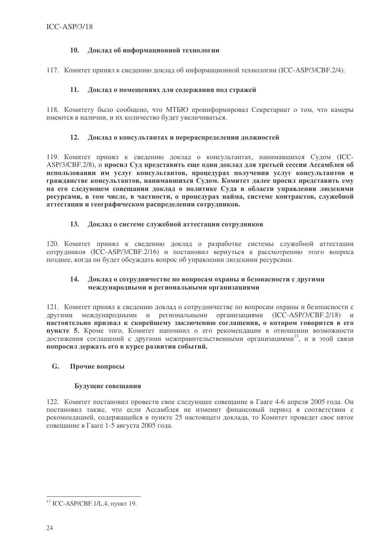#### $10.$ Доклад об информационной технологии

117. Комитет принял к сведению доклад об информационной технологии (ICC-ASP/3/CBF.2/4).

#### Доклад о помещениях для содержания под стражей  $11.$

118. Комитету было сообщено, что МТБЮ проинформировал Секретариат о том, что камеры имеются в наличии, и их количество будет увеличиваться.

# 12. Доклад о консультантах и перераспределении должностей

119. Комитет принял к сведению доклад о консультантах, нанимавшихся Судом (ICC-ASP/3/CBF.2/8), и просил Суд представить еще один доклад для третьей сессии Ассамблеи об использовании им услуг консультантов, процедурах получения услуг консультантов и гражданстве консультантов, нанимавшихся Судом. Комитет далее просил представить ему на его следующем совещании доклад о политике Суда в области управления людскими ресурсами, в том числе, в частности, о процедурах найма, системе контрактов, служебной аттестации и географическом распределении сотрудников.

#### $13.$ Доклад о системе служебной аттестации сотрудников

120. Комитет принял к сведению доклад о разработке системы служебной аттестации сотрудников (ICC-ASP/3/CBF.2/16) и постановил вернуться к рассмотрению этого вопроса позднее, когда он будет обсуждать вопрос об управлении людскими ресурсами.

#### Доклад о сотрудничестве по вопросам охраны и безопасности с другими 14. международными и региональными организациями

121. Комитет принял к сведению доклад о сотрудничестве по вопросам охраны и безопасности с другими международными и региональными организациями (ICC-ASP/3/CBF.2/18)  $\mathbf{H}$ настоятельно призвал к скорейшему заключению соглашения, о котором говорится в его пункте 5. Кроме того, Комитет напомнил о его рекомендации в отношении возможности достижения соглашений с другими межправительственными организациями<sup>13</sup>, и в этой связи попросил держать его в курсе развития событий.

#### $G<sub>r</sub>$ Прочие вопросы

# Будущие совещания

122. Комитет постановил провести свое следующее совещание в Гааге 4-6 апреля 2005 года. Он постановил также, что если Ассамблея не изменит финансовый период в соответствии с рекомендацией, содержащейся в пункте 25 настоящего доклада, то Комитет проведет свое пятое совещание в Гааге 1-5 августа 2005 года.

<sup>&</sup>lt;sup>13</sup> ICC-ASP/CBF.1/L.4, пункт 19.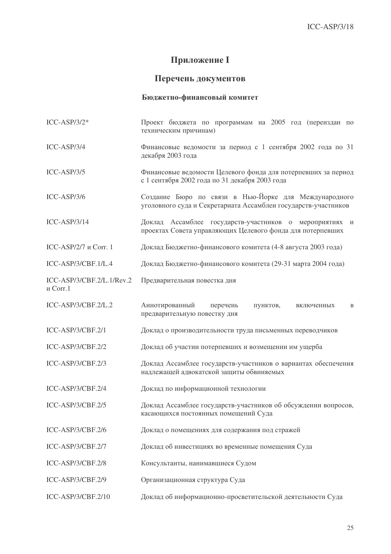# Приложение I

# Перечень документов

# **Бюджетно-финансовый комитет**

| $ICC-ASP/3/2*$                        | Проект бюджета по программам на 2005 год (переиздан по<br>техническим причинам)                                         |
|---------------------------------------|-------------------------------------------------------------------------------------------------------------------------|
| ICC-ASP/3/4                           | Финансовые ведомости за период с 1 сентября 2002 года по 31<br>декабря 2003 года                                        |
| $ICC-ASP/3/5$                         | Финансовые ведомости Целевого фонда для потерпевших за период<br>с 1 сентября 2002 года по 31 декабря 2003 года         |
| $ICC-ASP/3/6$                         | Создание Бюро по связи в Нью-Йорке для Международного<br>уголовного суда и Секретариата Ассамблеи государств-участников |
| $ICC-ASP/3/14$                        | Доклад Ассамблее государств-участников о мероприятиях и<br>проектах Совета управляющих Целевого фонда для потерпевших   |
| ICC-ASP/2/7 и Corr. 1                 | Доклад Бюджетно-финансового комитета (4-8 августа 2003 года)                                                            |
| ICC-ASP/3/CBF.1/L.4                   | Доклад Бюджетно-финансового комитета (29-31 марта 2004 года)                                                            |
| ICC-ASP/3/CBF.2/L.1/Rev.2<br>и Corr.1 | Предварительная повестка дня                                                                                            |
| ICC-ASP/3/CBF.2/L.2                   | Аннотированный перечень<br>пунктов,<br>включенных<br>B<br>предварительную повестку дня                                  |
| ICC-ASP/3/CBF.2/1                     | Доклад о производительности труда письменных переводчиков                                                               |
| ICC-ASP/3/CBF.2/2                     | Доклад об участии потерпевших и возмещении им ущерба                                                                    |
| ICC-ASP/3/CBF.2/3                     | Доклад Ассамблее государств-участников о вариантах обеспечения<br>надлежащей адвокатской защиты обвиняемых              |
| ICC-ASP/3/CBF.2/4                     | Доклад по информационной технологии                                                                                     |
| ICC-ASP/3/CBF.2/5                     | Доклад Ассамблее государств-участников об обсуждении вопросов,<br>касающихся постоянных помещений Суда                  |
| ICC-ASP/3/CBF.2/6                     | Доклад о помещениях для содержания под стражей                                                                          |
| ICC-ASP/3/CBF.2/7                     | Доклад об инвестициях во временные помещения Суда                                                                       |
| ICC-ASP/3/CBF.2/8                     | Консультанты, нанимавшиеся Судом                                                                                        |
| ICC-ASP/3/CBF.2/9                     | Организационная структура Суда                                                                                          |
| ICC-ASP/3/CBF.2/10                    | Доклад об информационно-просветительской деятельности Суда                                                              |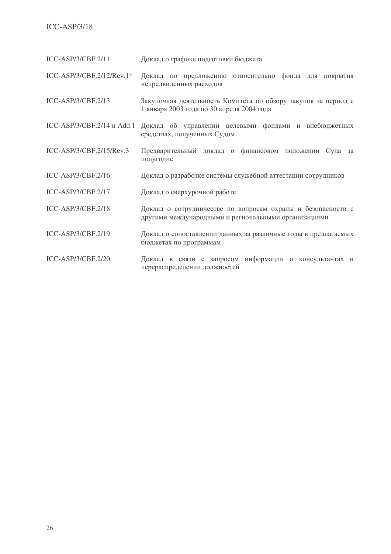# $ICC-ASP/3/18$

 $ICC-ASP/3/CBF.2/11$ Доклад о графике подготовки бюджета

ICC-ASP/3/CBF.2/12/Rev.1\* Доклад по предложению относительно фонда для покрытия непредвиденных расходов

ICC-ASP/3/CBF.2/13 Закупочная деятельность Комитета по обзору закупок за период с 1 января 2003 года по 30 апреля 2004 года

ICC-ASP/3/CBF.2/14 и Add.1 Доклад об управлении целевыми фондами и внебюджетных средствах, полученных Судом

- ICC-ASP/3/CBF.2/15/Rev.3 Предварительный доклад о финансовом положении Суда за полугодие
- Доклад о разработке системы служебной аттестации сотрудников ICC-ASP/3/CBF.2/16
- $ICC-ASP/3/CBF.2/17$ Доклад о сверхурочной работе
- $ICC-ASP/3/CBF.2/18$ Доклад о сотрудничестве по вопросам охраны и безопасности с другими международными и региональными организациями
- ICC-ASP/3/CBF.2/19 Доклад о сопоставлении данных за различные годы в предлагаемых бюджетах по программам
- $ICC-ASP/3/CBF.2/20$ Доклад в связи с запросом информации о консультантах и перераспределении должностей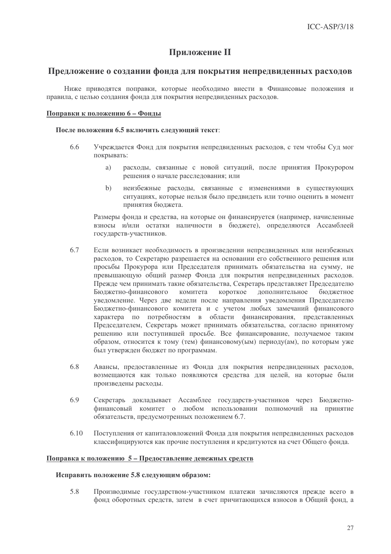# Приложение II

# Предложение о создании фонда для покрытия непредвиденных расходов

Ниже приволятся поправки, которые необходимо внести в Финансовые положения и правила, с целью создания фонда для покрытия непредвиденных расходов.

# Поправки к положению 6 - Фонды

### После положения 6.5 включить следующий текст:

- 66 Учреждается Фонд для покрытия непредвиденных расходов, с тем чтобы Суд мог покрывать:
	- a) расходы, связанные с новой ситуаций, после принятия Прокурором решения о начале расследования; или
	- неизбежные расходы, связанные с изменениями в существующих  $b)$ ситуациях, которые нельзя было предвидеть или точно оценить в момент принятия бюджета.

Размеры фонда и средства, на которые он финансируется (например, начисленные взносы и/или остатки наличности в бюлжете), определяются Ассамблеей государств-участников.

- 6.7 Если возникает необходимость в произведении непредвиденных или неизбежных расходов, то Секретарю разрешается на основании его собственного решения или просьбы Прокурора или Председателя принимать обязательства на сумму, не превышающую общий размер Фонда для покрытия непредвиденных расходов. Прежде чем принимать такие обязательства, Секретарь представляет Председателю Бюджетно-финансового комитета короткое дополнительное бюджетное уведомление. Через две недели после направления уведомления Председателю Бюджетно-финансового комитета и с учетом любых замечаний финансового характера по потребностям в области финансирования, представленных Председателем, Секретарь может принимать обязательства, согласно принятому решению или поступившей просьбе. Все финансирование, получаемое таким образом, относится к тому (тем) финансовому(ым) периоду(ам), по которым уже был утвержден бюджет по программам.
- 6.8 Авансы, предоставленные из Фонда для покрытия непредвиденных расходов, возмещаются как только появляются средства для целей, на которые были произведены расходы.
- 6.9 Секретарь докладывает Ассамблее государств-участников через Бюджетнофинансовый комитет о любом использовании полномочий на принятие обязательств, предусмотренных положением 6.7.
- $6.10$ Поступления от капиталовложений Фонда для покрытия непредвиденных расходов классифицируются как прочие поступления и кредитуются на счет Общего фонда.

# Поправка к положению 5 – Предоставление денежных средств

### Исправить положение 5.8 следующим образом:

5.8 Производимые государством-участником платежи зачисляются прежде всего в фонд оборотных средств, затем в счет причитающихся взносов в Общий фонд, а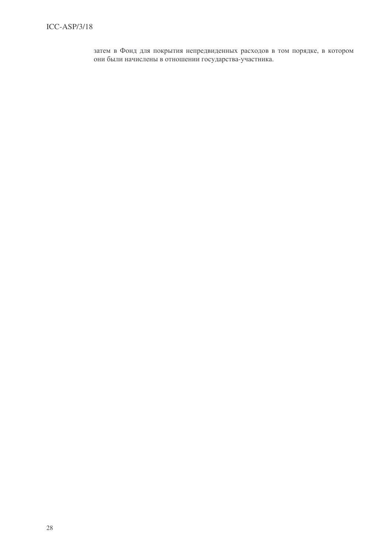затем в Фонд для покрытия непредвиденных расходов в том порядке, в котором они были начислены в отношении государства-участника.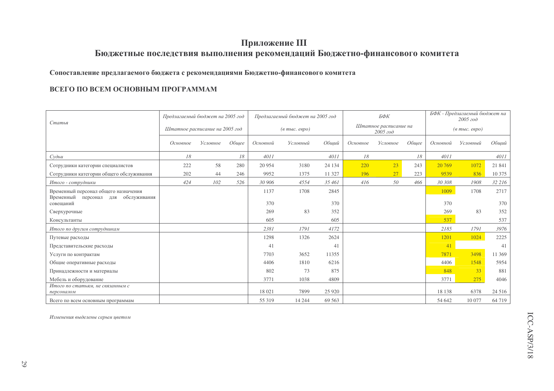# Приложение III

# Бюджетные последствия выполнения рекомендаций Бюджетно-финансового комитета

# Сопоставление предлагаемого бюджета с рекомендациями Бюджетно-финансового комитета

# ВСЕГО ПО ВСЕМ ОСНОВНЫМ ПРОГРАММАМ

| Статья                                                                         | Предлагаемый бюджет на 2005 год |          |       |          | Предлагаемый бюджет на 2005 год  |         |          | БФК                                   |       | БФК - Предлагаемый бюджет на<br>2005 zoo |          |         |
|--------------------------------------------------------------------------------|---------------------------------|----------|-------|----------|----------------------------------|---------|----------|---------------------------------------|-------|------------------------------------------|----------|---------|
|                                                                                | Штатное расписание на 2005 год  |          |       |          | $(a \text{ molc.} \text{ espo})$ |         |          | Штатное расписание на<br>$2005$ $200$ |       | $(a \text{ mol.} \text{ espo})$          |          |         |
|                                                                                | Основное                        | Условное | Обшее | Основной | Условный                         | Общий   | Основное | Условное                              | Обшее | Основной                                 | Условный | Общий   |
| Cv                                                                             | 18                              |          | 18    | 4011     |                                  | 4011    | 18       |                                       | 18    | 4011                                     |          | 4011    |
| Сотрудники категории специалистов                                              | 222                             | 58       | 280   | 20 9 54  | 3180                             | 24 134  | 220      | 23                                    | 243   | 20 769                                   | 1072     | 21 841  |
| Сотрудники категории общего обслуживания                                       | 202                             | 44       | 246   | 9952     | 1375                             | 11 327  | 196      | 27                                    | 223   | 9539                                     | 836      | 10 375  |
| Итого - сотрудники                                                             | 424                             | 102      | 526   | 30 906   | 4554                             | 35 461  | 416      | 50                                    | 466   | 30 308                                   | 1908     | 32 216  |
| Временный персонал общего назначения<br>Временный<br>персонал для обслуживания |                                 |          |       | 1137     | 1708                             | 2845    |          |                                       |       | 1009                                     | 1708     | 2717    |
| совещаний                                                                      |                                 |          |       | 370      |                                  | 370     |          |                                       |       | 370                                      |          | 370     |
| Сверхурочные                                                                   |                                 |          |       | 269      | 83                               | 352     |          |                                       |       | 269                                      | 83       | 352     |
| Консультанты                                                                   |                                 |          |       | 605      |                                  | 605     |          |                                       |       | 537                                      |          | 537     |
| Итого по другим сотрудникам                                                    |                                 |          |       | 2381     | 1791                             | 4172    |          |                                       |       | 2185                                     | 1791     | 3976    |
| Путевые расходы                                                                |                                 |          |       | 1298     | 1326                             | 2624    |          |                                       |       | 1201                                     | 1024     | 2225    |
| Представительские расходы                                                      |                                 |          |       | 41       |                                  | 41      |          |                                       |       | 41                                       |          | 41      |
| Услуги по контрактам                                                           |                                 |          |       | 7703     | 3652                             | 11355   |          |                                       |       | 7871                                     | 3498     | 11 369  |
| Общие оперативные расходы                                                      |                                 |          |       | 4406     | 1810                             | 6216    |          |                                       |       | 4406                                     | 1548     | 5954    |
| Принадлежности и материалы                                                     |                                 |          |       | 802      | 73                               | 875     |          |                                       |       | 848                                      | 33       | 881     |
| Мебель и оборудование                                                          |                                 |          |       | 3771     | 1038                             | 4809    |          |                                       |       | 3771                                     | 275      | 4046    |
| Итого по статьям, не связанным с                                               |                                 |          |       |          |                                  |         |          |                                       |       |                                          |          |         |
| персоналом                                                                     |                                 |          |       | 18 021   | 7899                             | 25 9 20 |          |                                       |       | 18 138                                   | 6378     | 24 5 16 |
| Всего по всем основным программам                                              |                                 |          |       | 55 319   | 14 244                           | 69 5 63 |          |                                       |       | 54 642                                   | 10 077   | 64 719  |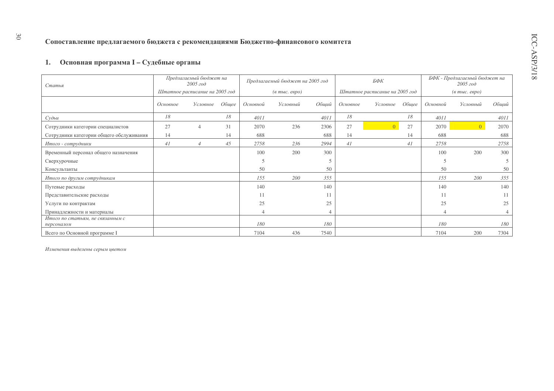# 1. Основная программа I - Судебные органы

| Статья                                         |          | Предлагаемый бюджет на<br>$2005$ $200$ |       |                                  | Предлагаемый бюджет на 2005 год |       |                                | БФК            |       | БФК - Предлагаемый бюджет на<br>2005 год |                 |       |  |
|------------------------------------------------|----------|----------------------------------------|-------|----------------------------------|---------------------------------|-------|--------------------------------|----------------|-------|------------------------------------------|-----------------|-------|--|
|                                                |          | Штатное расписание на 2005 год         |       | $(a \text{ molc.} \text{ espo})$ |                                 |       | Штатное расписание на 2005 год |                |       | $(a \text{ mol.} \text{ espo})$          |                 |       |  |
|                                                | Основное | Условное                               | Общее | Основной                         | Условный                        | Общий | Основное                       | Условное       | Обшее | Основной                                 | Условный        | Общий |  |
| Судьи                                          | 18       |                                        | 18    | 4011                             |                                 | 4011  | 18                             |                | 18    | 4011                                     |                 | 4011  |  |
| Сотрудники категории специалистов              | 27       | 4                                      | 31    | 2070                             | 236                             | 2306  | 27                             | $\overline{0}$ | 27    | 2070                                     | $\vert 0 \vert$ | 2070  |  |
| Сотрудники категории общего обслуживания       | 14       |                                        | 14    | 688                              |                                 | 688   | 14                             |                | 14    | 688                                      |                 | 688   |  |
| Итого - сотрудники                             | 41       | 4                                      | 45    | 2758                             | 236                             | 2994  | 41                             |                | 41    | 2758                                     |                 | 2758  |  |
| Временный персонал общего назначения           |          |                                        |       | 100                              | 200                             | 300   |                                |                |       | 100                                      | 200             | 300   |  |
| Сверхурочные                                   |          |                                        |       |                                  |                                 |       |                                |                |       | 5                                        |                 | 5     |  |
| Консультанты                                   |          |                                        |       | 50                               |                                 | 50    |                                |                |       | 50                                       |                 | 50    |  |
| Итого по другим сотрудникам                    |          |                                        |       | 155                              | 200                             | 355   |                                |                |       | 155                                      | 200             | 355   |  |
| Путевые расходы                                |          |                                        |       | 140                              |                                 | 140   |                                |                |       | 140                                      |                 | 140   |  |
| Представительские расходы                      |          |                                        |       | 11                               |                                 |       |                                |                |       |                                          |                 | 11    |  |
| Услуги по контрактам                           |          |                                        |       | 25                               |                                 | 25    |                                |                |       | 25                                       |                 | 25    |  |
| Принадлежности и материалы                     |          |                                        |       |                                  |                                 |       |                                |                |       |                                          |                 |       |  |
| Итого по статьям, не связанным с<br>персоналом |          |                                        |       | 180                              |                                 | 180   |                                |                |       | 180                                      |                 | 180   |  |
| Всего по Основной программе I                  |          |                                        |       | 7104                             | 436                             | 7540  |                                |                |       | 7104                                     | 200             | 7304  |  |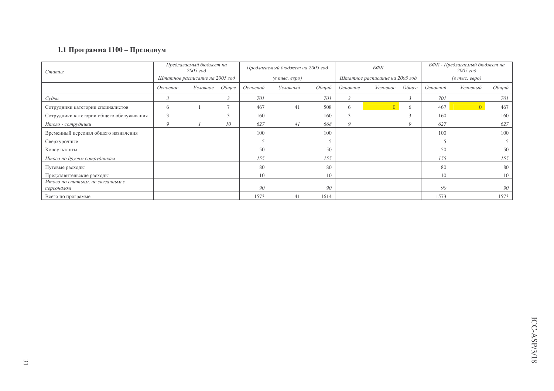# 1.1 Программа 1100 – Президиум

| Статья                                         | Предлагаемый бюджет на<br>2005 zoo |          |       |                                        | Предлагаемый бюджет на 2005 год | БФК   |                                |          | БФК - Предлагаемый бюджет на<br>$2005$ $z$ o $\partial$ |                                  |          |       |
|------------------------------------------------|------------------------------------|----------|-------|----------------------------------------|---------------------------------|-------|--------------------------------|----------|---------------------------------------------------------|----------------------------------|----------|-------|
|                                                | Штатное расписание на 2005 год     |          |       | $(e$ m <sub>bl</sub> $c$ . $e$ e $po)$ |                                 |       | Штатное расписание на 2005 год |          |                                                         | $(a \text{ molc.} \text{ espo})$ |          |       |
|                                                | Основное                           | Условное | Обшее | Основной                               | Условный                        | Общий | Основное                       | Условное | Обшее                                                   | Основной                         | Условный | Общий |
| Судьи                                          |                                    |          |       | 701                                    |                                 | 701   |                                |          | 3                                                       | 701                              |          | 701   |
| Сотрудники категории специалистов              | <sub>(</sub>                       |          |       | 467                                    | 41                              | 508   | 6                              |          | 6                                                       | 467                              |          | 467   |
| Сотрудники категории общего обслуживания       |                                    |          |       | 160                                    |                                 | 160   |                                |          |                                                         | 160                              |          | 160   |
| Итого - сотрудники                             | 9                                  |          | 10    | 627                                    | 41                              | 668   | 9                              |          | Q                                                       | 627                              |          | 627   |
| Временный персонал общего назначения           |                                    |          |       | 100                                    |                                 | 100   |                                |          |                                                         | 100                              |          | 100   |
| Сверхурочные                                   |                                    |          |       |                                        |                                 |       |                                |          |                                                         |                                  |          |       |
| Консультанты                                   |                                    |          |       | 50                                     |                                 | 50    |                                |          |                                                         | 50                               |          | 50    |
| Итого по другим сотрудникам                    |                                    |          |       | 155                                    |                                 | 155   |                                |          |                                                         | 155                              |          | 155   |
| Путевые расходы                                |                                    |          |       | 80                                     |                                 | 80    |                                |          |                                                         | 80                               |          | 80    |
| Представительские расходы                      |                                    |          |       | 10                                     |                                 | 10    |                                |          |                                                         | 10                               |          | 10    |
| Итого по статьям, не связанным с<br>персоналом |                                    |          |       | 90                                     |                                 | 90    |                                |          |                                                         | 90                               |          | 90    |
| Всего по программе                             |                                    |          |       | 1573                                   | 41                              | 1614  |                                |          |                                                         | 1573                             |          | 1573  |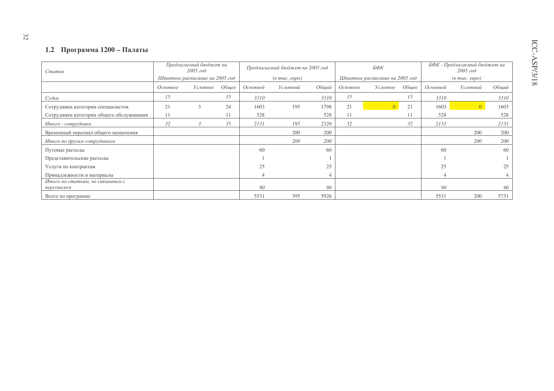### 1.2 Программа 1200 – Палаты

| Статья                                         |                                | Предлагаемый бюджет на<br>2005 zoo |       |                                  | Предлагаемый бюджет на 2005 год |       |                                | БФК      |       |                                          | БФК - Предлагаемый бюджет на<br>2005 zoo |       |  |
|------------------------------------------------|--------------------------------|------------------------------------|-------|----------------------------------|---------------------------------|-------|--------------------------------|----------|-------|------------------------------------------|------------------------------------------|-------|--|
|                                                | Штатное расписание на 2005 год |                                    |       | $(a \text{ molc.} \text{ espo})$ |                                 |       | Штатное расписание на 2005 год |          |       | $(a \text{ mol.} \text{ } e \text{spo})$ |                                          |       |  |
|                                                | Основное                       | Условное                           | Общее | Основной                         | Условный                        | Общий | Основное                       | Условное | Общее | Основной                                 | Условный                                 | Общий |  |
| $Cy$ $\partial b$ $u$                          | 15                             |                                    | 15    | 3310                             |                                 | 3310  | 15                             |          | 15    | 3310                                     |                                          | 3310  |  |
| Сотрудники категории специалистов              | 21                             | $\mathcal{R}$                      | 24    | 1603                             | 195                             | 1798  | 21                             |          | 21    | 1603                                     | $\left  0 \right\rangle$                 | 1603  |  |
| Сотрудники категории общего обслуживания       | 11                             |                                    |       | 528                              |                                 | 528   |                                |          | 11    | 528                                      |                                          | 528   |  |
| Итого - сотрудники                             | 32                             |                                    | 35    | 2131                             | 195                             | 2326  | 32                             |          | 32    | 2131                                     |                                          | 2131  |  |
| Временный персонал общего назначения           |                                |                                    |       |                                  | 200                             | 200   |                                |          |       |                                          | 200                                      | 200   |  |
| Итого по другим сотрудникам                    |                                |                                    |       |                                  | 200                             | 200   |                                |          |       |                                          | 200                                      | 200   |  |
| Путевые расходы                                |                                |                                    |       | 60                               |                                 | 60    |                                |          |       | 60                                       |                                          | 60    |  |
| Представительские расходы                      |                                |                                    |       |                                  |                                 |       |                                |          |       |                                          |                                          |       |  |
| Услуги по контрактам                           |                                |                                    |       | 25                               |                                 | 25    |                                |          |       | 25                                       |                                          | 25    |  |
| Принадлежности и материалы                     |                                |                                    |       |                                  |                                 |       |                                |          |       |                                          |                                          |       |  |
| Итого по статьям, не связанным с<br>персоналом |                                |                                    |       | 90                               |                                 | 90    |                                |          |       | 90                                       |                                          | 90    |  |
| Всего по программе                             |                                |                                    |       | 5531                             | 395                             | 5926  |                                |          |       | 5531                                     | 200                                      | 5731  |  |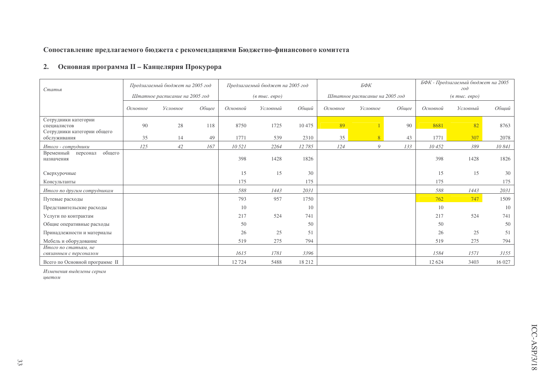Сопоставление предлагаемого бюджета с рекомендациями Бюджетно-финансового комитета

# 2. Основная программа II - Канцелярия Прокурора

| Статья                                                              | Предлагаемый бюджет на 2005 год |          |       |                                  | Предлагаемый бюджет на 2005 год |         |          | БФК                            |       | БФК - Предлагаемый бюджет на 2005<br>200 |          |        |  |
|---------------------------------------------------------------------|---------------------------------|----------|-------|----------------------------------|---------------------------------|---------|----------|--------------------------------|-------|------------------------------------------|----------|--------|--|
|                                                                     | Штатное расписание на 2005 год  |          |       | $(a \text{ molc.} \text{ espo})$ |                                 |         |          | Штатное расписание на 2005 год |       | $(e$ m <sub>bl</sub> $c$ . $e$ e $po$ )  |          |        |  |
|                                                                     | Основное                        | Условное | Общее | Основной                         | Условный                        | Обший   | Основное | Условное                       | Общее | Основной                                 | Условный | Общий  |  |
| Сотрудники категории<br>специалистов<br>Сотрудники категории общего | 90                              | 28       | 118   | 8750                             | 1725                            | 10475   | 89       |                                | 90    | 8681                                     | 82       | 8763   |  |
| обслуживания                                                        | 35                              | 14       | 49    | 1771                             | 539                             | 2310    | 35       | 8                              | 43    | 1771                                     | 307      | 2078   |  |
| Итого - сотрудники                                                  | 125                             | 42       | 167   | 10 521                           | 2264                            | 12 785  | 124      | 9                              | 133   | 10452                                    | 389      | 10 841 |  |
| общего<br>Временный<br>персонал<br>назначения                       |                                 |          |       | 398                              | 1428                            | 1826    |          |                                |       | 398                                      | 1428     | 1826   |  |
| Сверхурочные                                                        |                                 |          |       | 15                               | 15                              | 30      |          |                                |       | 15                                       | 15       | 30     |  |
| Консультанты                                                        |                                 |          |       | 175                              |                                 | 175     |          |                                |       | 175                                      |          | 175    |  |
| Итого по другим сотрудникам                                         |                                 |          |       | 588                              | 1443                            | 2031    |          |                                |       | 588                                      | 1443     | 2031   |  |
| Путевые расходы                                                     |                                 |          |       | 793                              | 957                             | 1750    |          |                                |       | 762                                      | 747      | 1509   |  |
| Представительские расходы                                           |                                 |          |       | 10                               |                                 | 10      |          |                                |       | 10                                       |          | 10     |  |
| Услуги по контрактам                                                |                                 |          |       | 217                              | 524                             | 741     |          |                                |       | 217                                      | 524      | 741    |  |
| Общие оперативные расходы                                           |                                 |          |       | 50                               |                                 | 50      |          |                                |       | 50                                       |          | 50     |  |
| Принадлежности и материалы                                          |                                 |          |       | 26                               | 25                              | 51      |          |                                |       | 26                                       | 25       | 51     |  |
| Мебель и оборудование                                               |                                 |          |       | 519                              | 275                             | 794     |          |                                |       | 519                                      | 275      | 794    |  |
| Итого по статьям, не<br>связанным с персоналом                      |                                 |          |       | 1615                             | 1781                            | 3396    |          |                                |       | 1584                                     | 1571     | 3155   |  |
| Всего по Основной программе II                                      |                                 |          |       | 12 7 24                          | 5488                            | 18 21 2 |          |                                |       | 12 6 24                                  | 3403     | 16 027 |  |

Изменения выделены серым

цветом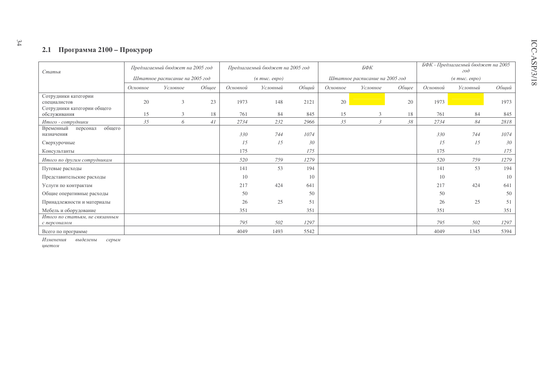# 2.1 Программа 2100 - Прокурор

| Статья                                                              | Предлагаемый бюджет на 2005 год |   |          |                                  | Предлагаемый бюджет на 2005 год |          |          | БФК                            |          | БФК - Предлагаемый бюджет на 2005<br>200 |       |      |  |
|---------------------------------------------------------------------|---------------------------------|---|----------|----------------------------------|---------------------------------|----------|----------|--------------------------------|----------|------------------------------------------|-------|------|--|
|                                                                     | Штатное расписание на 2005 год  |   |          | $(a \text{ molc.} \text{ espo})$ |                                 |          |          | Штатное расписание на 2005 год |          | $(a \text{ molc.} \text{ espo})$         |       |      |  |
|                                                                     | Условное<br>Общее<br>Основное   |   | Основной | Условный                         | Общий                           | Основное | Условное | Общее                          | Основной | Условный                                 | Общий |      |  |
| Сотрудники категории<br>специалистов<br>Сотрудники категории общего | 20                              | 3 | 23       | 1973                             | 148                             | 2121     | 20       |                                | 20       | 1973                                     |       | 1973 |  |
| обслуживания                                                        | 15                              | 3 | 18       | 761                              | 84                              | 845      | 15       | 3                              | 18       | 761                                      | 84    | 845  |  |
| Итого - сотрудники                                                  | 35                              | 6 | 41       | 2734                             | 232                             | 2966     | 35       | 3                              | 38       | 2734                                     | 84    | 2818 |  |
| общего<br>Временный<br>персонал<br>назначения                       |                                 |   |          | 330                              | 744                             | 1074     |          |                                |          | 330                                      | 744   | 1074 |  |
| Сверхурочные                                                        |                                 |   |          | 15                               | 15                              | 30       |          |                                |          | 15                                       | 15    | 30   |  |
| Консультанты                                                        |                                 |   |          | 175                              |                                 | 175      |          |                                |          | 175                                      |       | 175  |  |
| Итого по другим сотрудникам                                         |                                 |   |          | 520                              | 759                             | 1279     |          |                                |          | 520                                      | 759   | 1279 |  |
| Путевые расходы                                                     |                                 |   |          | 141                              | 53                              | 194      |          |                                |          | 141                                      | 53    | 194  |  |
| Представительские расходы                                           |                                 |   |          | 10                               |                                 | 10       |          |                                |          | 10                                       |       | 10   |  |
| Услуги по контрактам                                                |                                 |   |          | 217                              | 424                             | 641      |          |                                |          | 217                                      | 424   | 641  |  |
| Общие оперативные расходы                                           |                                 |   |          | 50                               |                                 | 50       |          |                                |          | 50                                       |       | 50   |  |
| Принадлежности и материалы                                          |                                 |   |          | 26                               | 25                              | 51       |          |                                |          | 26                                       | 25    | 51   |  |
| Мебель и оборудование                                               |                                 |   |          | 351                              |                                 | 351      |          |                                |          | 351                                      |       | 351  |  |
| Итого по статьям, не связанным<br>с персоналом                      |                                 |   |          | 795                              | 502                             | 1297     |          |                                |          | 795                                      | 502   | 1297 |  |
| Всего по программе                                                  |                                 |   |          | 4049                             | 1493                            | 5542     |          |                                |          | 4049                                     | 1345  | 5394 |  |

Изменения выделены серым

цветом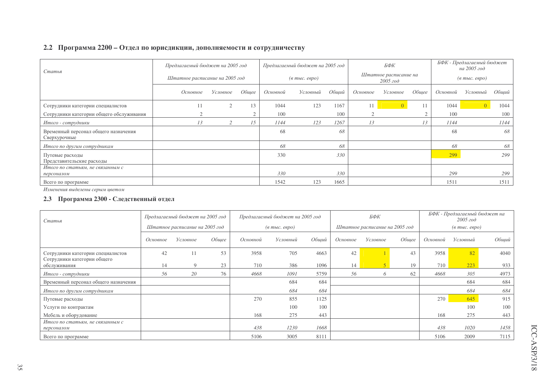### 2.2 Программа 2200 – Отдел по юрисдикции, дополняемости и сотрудничеству

| Статья                                               | Предлагаемый бюджет на 2005 год |          |       |          | Предлагаемый бюджет на 2005 год        |       | БФК                                              |          | БФК - Предлагаемый бюджет<br>на 2005 год                |          |                |       |
|------------------------------------------------------|---------------------------------|----------|-------|----------|----------------------------------------|-------|--------------------------------------------------|----------|---------------------------------------------------------|----------|----------------|-------|
|                                                      | Штатное расписание на 2005 год  |          |       |          | $(e$ m <sub>bl</sub> $c$ . $e$ e $po)$ |       | Штатное расписание на<br>$2005$ $z$ o $\partial$ |          | $(a \text{ mol.} \text{ e} \text{e} \text{p} \text{o})$ |          |                |       |
|                                                      | Основное                        | Условное | Обшее | Основной | Условный                               | Общий | Основное                                         | Условное | Общее                                                   | Основной | Условный       | Общий |
| Сотрудники категории специалистов                    | $\pm$                           | $\sim$   | 13    | 1044     | 123                                    | 1167  | 11                                               |          | -1-1                                                    | 1044     | $\overline{0}$ | 1044  |
| Сотрудники категории общего обслуживания             |                                 |          |       | 100      |                                        | 100   |                                                  |          |                                                         | 100      |                | 100   |
| Итого - сотрудники                                   | 13                              |          | 15    | 1144     | 123                                    | 1267  | 13                                               |          |                                                         | 1144     |                | 1144  |
| Временный персонал общего назначения<br>Сверхурочные |                                 |          |       | 68       |                                        | 68    |                                                  |          |                                                         | 68       |                | 68    |
| Итого по другим сотрудникам                          |                                 |          |       | 68       |                                        | 68    |                                                  |          |                                                         | 68       |                | 68    |
| Путевые расходы<br>Представительские расходы         |                                 |          |       | 330      |                                        | 330   |                                                  |          |                                                         | 299      |                | 299   |
| Итого по статьям, не связанным с<br>персоналом       |                                 |          |       | 330      |                                        | 330   |                                                  |          |                                                         | 299      |                | 299   |
| Всего по программе                                   |                                 |          |       | 1542     | 123                                    | 1665  |                                                  |          |                                                         | 1511     |                | 1511  |

Изменения выделены серым цветом

### **2.3** Программа 2300 - Следственный отдел

| Статья                                         | Предлагаемый бюджет на 2005 год<br>Штатное расписание на 2005 год |             |       | Предлагаемый бюджет на 2005 год |                                  |       |          | БФК                            |       |          | БФК - Предлагаемый бюджет на<br>$2005$ $z$ o $\partial$ |       |
|------------------------------------------------|-------------------------------------------------------------------|-------------|-------|---------------------------------|----------------------------------|-------|----------|--------------------------------|-------|----------|---------------------------------------------------------|-------|
|                                                |                                                                   |             |       |                                 | $(a \text{ molc.} \text{ espo})$ |       |          | Штатное расписание на 2005 год |       |          | $(a \text{ molc.} \text{ espo})$                        |       |
|                                                | Основное                                                          | Условное    | Общее | Основной                        | Условный                         | Общий | Основное | Условное                       | Общее | Основной | Условный                                                | Общий |
| Сотрудники категории специалистов              | 42                                                                | 11          | 53    | 3958                            | 705                              | 4663  | 42       |                                | 43    | 3958     | 82                                                      | 4040  |
| Сотрудники категории общего<br>обслуживания    | 14                                                                | $\mathbf Q$ | 23    | 710                             | 386                              | 1096  | 14       |                                | 19    | 710      | 223                                                     | 933   |
| Итого - сотрудники                             | 56                                                                | 20          | 76    | 4668                            | 1091                             | 5759  | 56       | 6                              | 62    | 4668     | 305                                                     | 4973  |
| Временный персонал общего назначения           |                                                                   |             |       |                                 | 684                              | 684   |          |                                |       |          | 684                                                     | 684   |
| Итого по другим сотрудникам                    |                                                                   |             |       |                                 | 684                              | 684   |          |                                |       |          | 684                                                     | 684   |
| Путевые расходы                                |                                                                   |             |       | 270                             | 855                              | 1125  |          |                                |       | 270      | 645                                                     | 915   |
| Услуги по контрактам                           |                                                                   |             |       |                                 | 100                              | 100   |          |                                |       |          | 100                                                     | 100   |
| Мебель и оборудование                          |                                                                   |             |       | 168                             | 275                              | 443   |          |                                |       | 168      | 275                                                     | 443   |
| Итого по статьям, не связанным с<br>персоналом |                                                                   |             |       | 438                             | 1230                             | 1668  |          |                                |       | 438      | 1020                                                    | 1458  |
| Всего по программе                             |                                                                   |             |       | 5106                            | 3005                             | 8111  |          |                                |       | 5106     | 2009                                                    | 7115  |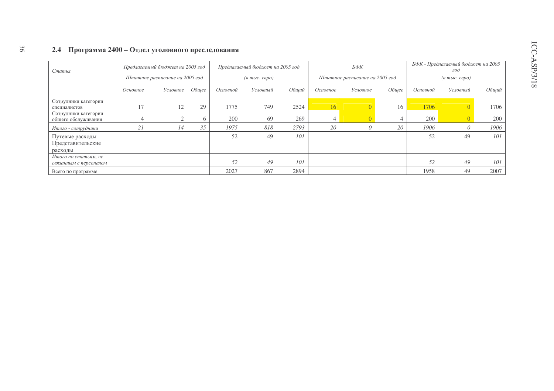# 2.4 Программа 2400 - Отдел уголовного преследования

36

| Статья                                          |          | Предлагаемый бюджет на 2005 год |       |          | Предлагаемый бюджет на 2005 год  |       |          | БФК                            |       |          | БФК - Предлагаемый бюджет на 2005<br>200 |       |
|-------------------------------------------------|----------|---------------------------------|-------|----------|----------------------------------|-------|----------|--------------------------------|-------|----------|------------------------------------------|-------|
|                                                 |          | Штатное расписание на 2005 год  |       |          | $(a \text{ molc.} \text{ espo})$ |       |          | Штатное расписание на 2005 год |       |          | $(a \text{ into.} \text{~e$}$ go)        |       |
|                                                 | Основное | Условное                        | Обшее | Основной | Условный                         | Обший | Основное | Условное                       | Обшее | Основной | Условный                                 | Обший |
| Сотрудники категории<br>специалистов            |          | 12                              | 29    | 1775     | 749                              | 2524  | 16       |                                | 16    | 1706     |                                          | 1706  |
| Сотрудники категории<br>общего обслуживания     | 4        |                                 | 6     | 200      | 69                               | 269   | 4        |                                |       | 200      |                                          | 200   |
| Итого - сотрудники                              | 21       | 14                              | 35    | 1975     | 818                              | 2793  | 20       | $\theta$                       | 20    | 1906     |                                          | 1906  |
| Путевые расходы<br>Представительские<br>расходы |          |                                 |       | 52       | 49                               | 101   |          |                                |       | 52       | 49                                       | 101   |
| Итого по статьям, не<br>связанным с персоналом  |          |                                 |       | 52       | 49                               | 101   |          |                                |       | 52       | 49                                       | 101   |
| Всего по программе                              |          |                                 |       | 2027     | 867                              | 2894  |          |                                |       | 1958     | 49                                       | 2007  |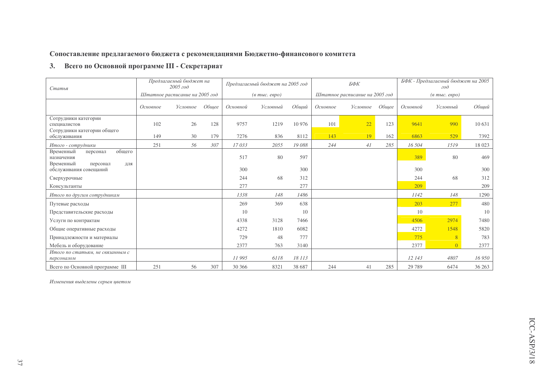# Сопоставление предлагаемого бюджета с рекомендациями Бюджетно-финансового комитета

# 3. Всего по Основной программе III - Секретариат

| Статья                                                                        | Предлагаемый бюджет на<br>$2005$ $z$ o $\partial$<br>Штатное расписание на 2005 год |          |       |          | Предлагаемый бюджет на 2005 год  |        |          | БФК                            |       |          | БФК - Предлагаемый бюджет на 2005<br>$\partial$         |         |
|-------------------------------------------------------------------------------|-------------------------------------------------------------------------------------|----------|-------|----------|----------------------------------|--------|----------|--------------------------------|-------|----------|---------------------------------------------------------|---------|
|                                                                               |                                                                                     |          |       |          | $(a \text{ molc.} \text{ espo})$ |        |          | Штатное расписание на 2005 год |       |          | $(a \text{ mol.} \text{ e }\text{e}\text{ }p\text{ }o)$ |         |
|                                                                               | Основное                                                                            | Условное | Обшее | Основной | Условный                         | Обший  | Основное | Условное                       | Обшее | Основной | Условный                                                | Общий   |
| Сотрудники категории<br>специалистов<br>Сотрудники категории общего           | 102                                                                                 | 26       | 128   | 9757     | 1219                             | 10 976 | 101      | 22                             | 123   | 9641     | 990                                                     | 10 631  |
| обслуживания                                                                  | 149                                                                                 | 30       | 179   | 7276     | 836                              | 8112   | 143      | 19                             | 162   | 6863     | 529                                                     | 7392    |
| Итого - сотрудники                                                            | 251                                                                                 | 56       | 307   | 17033    | 2055                             | 19088  | 244      | 41                             | 285   | 16 504   | 1519                                                    | 18 023  |
| общего<br>Временный<br>персонал<br>назначения<br>Временный<br>персонал<br>ДЛЯ |                                                                                     |          |       | 517      | 80                               | 597    |          |                                |       | 389      | 80                                                      | 469     |
| обслуживания совещаний                                                        |                                                                                     |          |       | 300      |                                  | 300    |          |                                |       | 300      |                                                         | 300     |
| Сверхурочные                                                                  |                                                                                     |          |       | 244      | 68                               | 312    |          |                                |       | 244      | 68                                                      | 312     |
| Консультанты                                                                  |                                                                                     |          |       | 277      |                                  | 277    |          |                                |       | 209      |                                                         | 209     |
| Итого по другим сотрудникам                                                   |                                                                                     |          |       | 1338     | 148                              | 1486   |          |                                |       | 1142     | 148                                                     | 1290    |
| Путевые расходы                                                               |                                                                                     |          |       | 269      | 369                              | 638    |          |                                |       | 203      | 277                                                     | 480     |
| Представительские расходы                                                     |                                                                                     |          |       | 10       |                                  | 10     |          |                                |       | 10       |                                                         | 10      |
| Услуги по контрактам                                                          |                                                                                     |          |       | 4338     | 3128                             | 7466   |          |                                |       | 4506     | 2974                                                    | 7480    |
| Общие оперативные расходы                                                     |                                                                                     |          |       | 4272     | 1810                             | 6082   |          |                                |       | 4272     | 1548                                                    | 5820    |
| Принадлежности и материалы                                                    |                                                                                     |          |       | 729      | 48                               | 777    |          |                                |       | 775      | $\overline{8}$                                          | 783     |
| Мебель и оборудование                                                         |                                                                                     |          |       | 2377     | 763                              | 3140   |          |                                |       | 2377     | $\Omega$                                                | 2377    |
| Итого по статьям, не связанным с<br>персоналом                                |                                                                                     |          |       | 11995    | 6118                             | 18 113 |          |                                |       | 12 143   | 4807                                                    | 16 950  |
| Всего по Основной программе III                                               | 251                                                                                 | 56       | 307   | 30 366   | 8321                             | 38 687 | 244      | 41                             | 285   | 29 7 89  | 6474                                                    | 36 26 3 |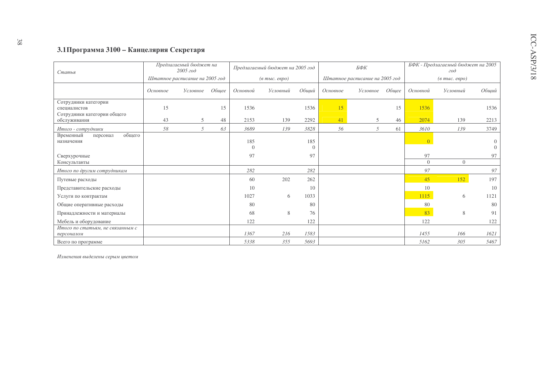# 3.1Программа 3100 - Канцелярия Секретаря

| Статья                                                              |          | Предлагаемый бюджет на<br>$2005$ $z$ o $\partial$ |       |                 | Предлагаемый бюджет на 2005 год      |                 |          | БФК                            |       |                          | БФК - Предлагаемый бюджет на 2005<br>$\partial$ |                      |
|---------------------------------------------------------------------|----------|---------------------------------------------------|-------|-----------------|--------------------------------------|-----------------|----------|--------------------------------|-------|--------------------------|-------------------------------------------------|----------------------|
|                                                                     |          | Штатное расписание на 2005 год                    |       |                 | $(6 \text{ molc.} \text{~e}$ gpo $)$ |                 |          | Штатное расписание на 2005 год |       |                          | $(a \text{ mol.} \text{ e}\text{e} \text{po})$  |                      |
|                                                                     | Основное | Условное                                          | Общее | Основной        | Условный                             | Общий           | Основное | Условное                       | Обшее | Основной                 | Условный                                        | Общий                |
| Сотрудники категории<br>специалистов<br>Сотрудники категории общего | 15       |                                                   | 15    | 1536            |                                      | 1536            | 15       |                                | 15    | 1536                     |                                                 | 1536                 |
| обслуживания                                                        | 43       | 5                                                 | 48    | 2153            | 139                                  | 2292            | 41       | 5                              | 46    | 2074                     | 139                                             | 2213                 |
| Итого - сотрудники                                                  | 58       | 5                                                 | 63    | 3689            | 139                                  | 3828            | 56       | 5                              | 61    | 3610                     | 139                                             | 3749                 |
| общего<br>Временный<br>персонал<br>назначения                       |          |                                                   |       | 185<br>$\Omega$ |                                      | 185<br>$\Omega$ |          |                                |       | $\left  0 \right\rangle$ |                                                 | $\theta$<br>$\Omega$ |
| Сверхурочные<br>Консультанты                                        |          |                                                   |       | 97              |                                      | 97              |          |                                |       | 97<br>$\Omega$           | $\Omega$                                        | 97                   |
|                                                                     |          |                                                   |       | 282             |                                      | 282             |          |                                |       | 97                       |                                                 | 97                   |
| Итого по другим сотрудникам                                         |          |                                                   |       |                 |                                      |                 |          |                                |       |                          |                                                 |                      |
| Путевые расходы                                                     |          |                                                   |       | 60              | 202                                  | 262             |          |                                |       | 45                       | 152                                             | 197                  |
| Представительские расходы                                           |          |                                                   |       | 10              |                                      | 10              |          |                                |       | 10                       |                                                 | 10                   |
| Услуги по контрактам                                                |          |                                                   |       | 1027            | 6                                    | 1033            |          |                                |       | 1115                     | 6                                               | 1121                 |
| Общие оперативные расходы                                           |          |                                                   |       | 80              |                                      | 80              |          |                                |       | 80                       |                                                 | 80                   |
| Принадлежности и материалы                                          |          |                                                   |       | 68              | 8                                    | 76              |          |                                |       | 83                       | 8                                               | 91                   |
| Мебель и оборудование                                               |          |                                                   |       | 122             |                                      | 122             |          |                                |       | 122                      |                                                 | 122                  |
| Итого по статьям, не связанным с<br>персоналом                      |          |                                                   |       | 1367            | 216                                  | 1583            |          |                                |       | 1455                     | 166                                             | 1621                 |
| Всего по программе                                                  |          |                                                   |       | 5338            | 355                                  | 5693            |          |                                |       | 5162                     | 305                                             | 5467                 |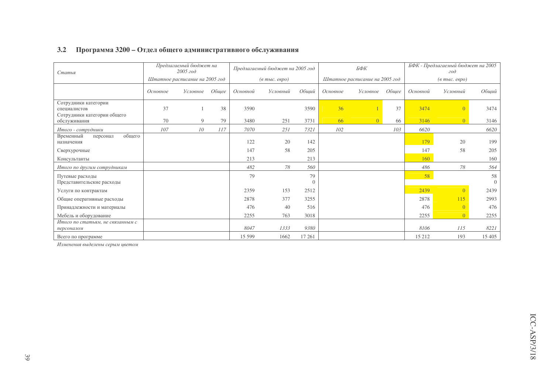| Статья                                                              | Предлагаемый бюджет на<br>2005 zoo<br>Штатное расписание на 2005 год |          |       |          | Предлагаемый бюджет на 2005 год  |                | БФК<br>Штатное расписание на 2005 год |                |       |          | БФК - Предлагаемый бюджет на 2005<br>200 |                      |
|---------------------------------------------------------------------|----------------------------------------------------------------------|----------|-------|----------|----------------------------------|----------------|---------------------------------------|----------------|-------|----------|------------------------------------------|----------------------|
|                                                                     |                                                                      |          |       |          | $(a \text{ molc.} \text{ espo})$ |                |                                       |                |       |          | $(a \text{ mol.} \text{~e}$ вро)         |                      |
|                                                                     | Основное                                                             | Условное | Общее | Основной | Условный                         | Общий          | Основное                              | Условное       | Общее | Основной | Условный                                 | Общий                |
| Сотрудники категории<br>специалистов<br>Сотрудники категории общего | 37                                                                   |          | 38    | 3590     |                                  | 3590           | 36                                    |                | 37    | 3474     | $\Omega$                                 | 3474                 |
| обслуживания                                                        | 70                                                                   | 9        | 79    | 3480     | 251                              | 3731           | 66                                    | $\overline{0}$ | 66    | 3146     |                                          | 3146                 |
| Итого - сотрудники                                                  | 107                                                                  | 10       | 117   | 7070     | 251                              | 7321           | 102                                   |                | 103   | 6620     |                                          | 6620                 |
| общего<br>Временный<br>персонал<br>назначения                       |                                                                      |          |       | 122      | 20                               | 142            |                                       |                |       | 179      | 20                                       | 199                  |
| Сверхурочные                                                        |                                                                      |          |       | 147      | 58                               | 205            |                                       |                |       | 147      | 58                                       | 205                  |
| Консультанты                                                        |                                                                      |          |       | 213      |                                  | 213            |                                       |                |       | 160      |                                          | 160                  |
| Итого по другим сотрудникам                                         |                                                                      |          |       | 482      | 78                               | 560            |                                       |                |       | 486      | 78                                       | 564                  |
| Путевые расходы<br>Представительские расходы                        |                                                                      |          |       | 79       |                                  | 79<br>$\Omega$ |                                       |                |       | 58       |                                          | 58<br>$\overline{0}$ |
| Услуги по контрактам                                                |                                                                      |          |       | 2359     | 153                              | 2512           |                                       |                |       | 2439     | $\Omega$                                 | 2439                 |
| Общие оперативные расходы                                           |                                                                      |          |       | 2878     | 377                              | 3255           |                                       |                |       | 2878     | 115                                      | 2993                 |
| Принадлежности и материалы                                          |                                                                      |          |       | 476      | 40                               | 516            |                                       |                |       | 476      | $\Omega$                                 | 476                  |
| Мебель и оборудование                                               |                                                                      |          |       | 2255     | 763                              | 3018           |                                       |                |       | 2255     | $\Omega$                                 | 2255                 |
| Итого по статьям, не связанным с<br>персоналом                      |                                                                      |          |       | 8047     | 1333                             | 9380           |                                       |                |       | 8106     | 115                                      | 8221                 |
| Всего по программе                                                  |                                                                      |          |       | 15 599   | 1662                             | 17 261         |                                       |                |       | 15 212   | 193                                      | 15 405               |

### 3.2 Программа 3200 – Отдел общего административного обслуживания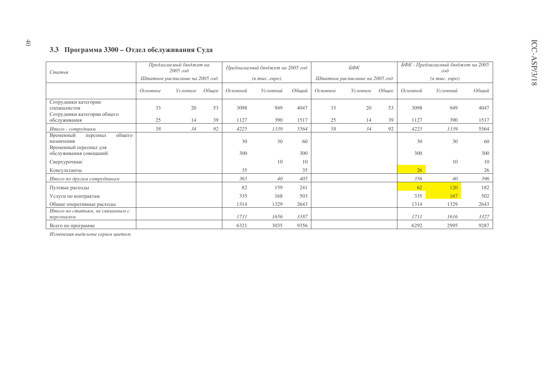# 3.3 Программа 3300 – Отдел обслуживания Суда

| Статья                                                                  | Предлагаемый бюджет на<br>$2005$ $z$ o $\partial$<br>Штатное расписание на 2005 год |          |       |          | Предлагаемый бюджет на 2005 год               |       |          | БФК                            |       |          | БФК - Предлагаемый бюджет на 2005<br>200 |       |
|-------------------------------------------------------------------------|-------------------------------------------------------------------------------------|----------|-------|----------|-----------------------------------------------|-------|----------|--------------------------------|-------|----------|------------------------------------------|-------|
|                                                                         |                                                                                     |          |       |          | $(a \text{ mol.} \text{ e}\text{e}\text{po})$ |       |          | Штатное расписание на 2005 год |       |          | $(a \text{ mol.} \text{ espo})$          |       |
|                                                                         | Основное                                                                            | Условное | Общее | Основной | Условный                                      | Общий | Основное | Условное                       | Общее | Основной | Условный                                 | Общий |
| Сотрудники категории<br>специалистов<br>Сотрудники категории общего     | 33                                                                                  | 20       | 53    | 3098     | 949                                           | 4047  | 33       | 20                             | 53    | 3098     | 949                                      | 4047  |
| обслуживания                                                            | 25                                                                                  | 14       | 39    | 1127     | 390                                           | 1517  | 25       | 14                             | 39    | 1127     | 390                                      | 1517  |
| Итого - сотрудники                                                      | 58                                                                                  | 34       | 92    | 4225     | 1339                                          | 5564  | 58       | 34                             | 92    | 4225     | 1339                                     | 5564  |
| общего<br>Временный<br>персонал<br>назначения<br>Временный персонал для |                                                                                     |          |       | 30       | 30                                            | 60    |          |                                |       | 30       | 30                                       | 60    |
| обслуживания совещаний                                                  |                                                                                     |          |       | 300      |                                               | 300   |          |                                |       | 300      |                                          | 300   |
| Сверхурочные                                                            |                                                                                     |          |       |          | 10                                            | 10    |          |                                |       |          | 10                                       | 10    |
| Консультанты                                                            |                                                                                     |          |       | 35       |                                               | 35    |          |                                |       | 26       |                                          | 26    |
| Итого по другим сотрудникам                                             |                                                                                     |          |       | 365      | 40                                            | 405   |          |                                |       | 356      | 40                                       | 396   |
| Путевые расходы                                                         |                                                                                     |          |       | 82       | 159                                           | 241   |          |                                |       | 62       | <b>120</b>                               | 182   |
| Услуги по контрактам                                                    |                                                                                     |          |       | 335      | 168                                           | 503   |          |                                |       | 335      | 167                                      | 502   |
| Общие оперативные расходы                                               |                                                                                     |          |       | 1314     | 1329                                          | 2643  |          |                                |       | 1314     | 1329                                     | 2643  |
| Итого по статьям, не связанным с<br>персоналом                          |                                                                                     |          |       | 1731     | 1656                                          | 3387  |          |                                |       | 1711     | 1616                                     | 3327  |
| Всего по программе                                                      |                                                                                     |          |       | 6321     | 3035                                          | 9356  |          |                                |       | 6292     | 2995                                     | 9287  |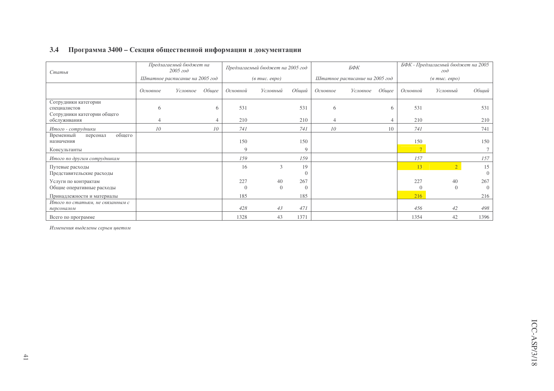| <b>3.4</b><br>Программа 3400 – Секция общественной информации и документации |  |
|------------------------------------------------------------------------------|--|
|------------------------------------------------------------------------------|--|

| Статья                                                              |          | Предлагаемый бюджет на<br>$2005$ $z$ o $\partial$ |                |             | Предлагаемый бюджет на 2005 год               |                 |          | БФК                            |       |                 | БФК - Предлагаемый бюджет на 2005<br>200 |                 |
|---------------------------------------------------------------------|----------|---------------------------------------------------|----------------|-------------|-----------------------------------------------|-----------------|----------|--------------------------------|-------|-----------------|------------------------------------------|-----------------|
|                                                                     |          | Штатное расписание на 2005 год                    |                |             | $(a \text{ mol.} \text{ e}\text{e}\text{po})$ |                 |          | Штатное расписание на 2005 год |       |                 | $(a \text{ mol.} \text{ espo})$          |                 |
|                                                                     | Основное | Условное                                          | Общее          | Основной    | Условный                                      | Общий           | Основное | Условное                       | Общее | Основной        | Условный                                 | Общий           |
| Сотрудники категории<br>специалистов<br>Сотрудники категории общего | 6        |                                                   | 6              | 531         |                                               | 531             | 6        |                                | 6     | 531             |                                          | 531             |
| обслуживания                                                        |          |                                                   | $\overline{4}$ | 210         |                                               | 210             | 4        |                                |       | 210             |                                          | 210             |
| Итого - сотрудники                                                  | 10       |                                                   | 10             | 741         |                                               | 741             | 10       |                                | 10    | 741             |                                          | 741             |
| общего<br>Временный<br>персонал<br>назначения                       |          |                                                   |                | 150         |                                               | 150             |          |                                |       | 150             |                                          | 150             |
| Консультанты                                                        |          |                                                   |                | $\mathbf Q$ |                                               | 9               |          |                                |       | $\mathcal{L}$   |                                          |                 |
| Итого по другим сотрудникам                                         |          |                                                   |                | 159         |                                               | 159             |          |                                |       | 157             |                                          | 157             |
| Путевые расходы<br>Представительские расходы                        |          |                                                   |                | 16          | 3                                             | 19              |          |                                |       | 13              | $\overline{2}$                           | 15<br>$\Omega$  |
| Услуги по контрактам<br>Общие оперативные расходы                   |          |                                                   |                | 227         | 40<br>$\Omega$                                | 267<br>$\Omega$ |          |                                |       | 227<br>$\Omega$ | 40<br>$\Omega$                           | 267<br>$\Omega$ |
| Принадлежности и материалы                                          |          |                                                   |                | 185         |                                               | 185             |          |                                |       | 216             |                                          | 216             |
| Итого по статьям, не связанным с<br>персоналом                      |          |                                                   |                | 428         | 43                                            | 471             |          |                                |       | 456             | 42                                       | 498             |
| Всего по программе                                                  |          |                                                   |                | 1328        | 43                                            | 1371            |          |                                |       | 1354            | 42                                       | 1396            |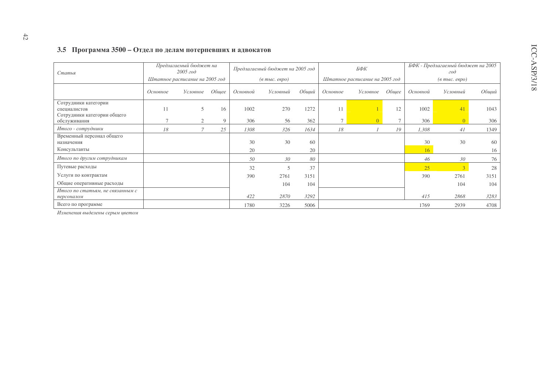### 3.5 Программа 3500 – Отдел по делам потерпевших и адвокатов

| Статья                                                              | Предлагаемый бюджет на<br>2005 zoo<br>Штатное расписание на 2005 год |                |       |          | Предлагаемый бюджет на 2005 год  |       |                | БФК                            |       |          | БФК - Предлагаемый бюджет на 2005<br>200 |       |
|---------------------------------------------------------------------|----------------------------------------------------------------------|----------------|-------|----------|----------------------------------|-------|----------------|--------------------------------|-------|----------|------------------------------------------|-------|
|                                                                     |                                                                      |                |       |          | $(a \text{ molc.} \text{ espo})$ |       |                | Штатное расписание на 2005 год |       |          | $(a \text{ molc.} \text{ espo})$         |       |
|                                                                     | Основное                                                             | Условное       | Общее | Основной | Условный                         | Общий | Основное       | Условное                       | Обшее | Основной | Условный                                 | Общий |
| Сотрудники категории<br>специалистов<br>Сотрудники категории общего | 11                                                                   | 5              | 16    | 1002     | 270                              | 1272  | 11             |                                | 12    | 1002     | 41                                       | 1043  |
| обслуживания                                                        |                                                                      | $\overline{2}$ | 9     | 306      | 56                               | 362   | $\overline{7}$ | $\Omega$                       |       | 306      | $\Omega$                                 | 306   |
| Итого - сотрудники                                                  | 18                                                                   | 7              | 25    | 1308     | 326                              | 1634  | 18             |                                | 19    | 1,308    | 41                                       | 1349  |
| Временный персонал общего<br>назначения                             |                                                                      |                |       | 30       | 30                               | 60    |                |                                |       | 30       | 30                                       | 60    |
| Консультанты                                                        |                                                                      |                |       | 20       |                                  | 20    |                |                                |       | 16       |                                          | 16    |
| Итого по другим сотрудникам                                         |                                                                      |                |       | 50       | 30                               | 80    |                |                                |       | 46       | 30                                       | 76    |
| Путевые расходы                                                     |                                                                      |                |       | 32       | 5                                | 37    |                |                                |       | 25       |                                          | 28    |
| Услуги по контрактам                                                |                                                                      |                |       | 390      | 2761                             | 3151  |                |                                |       | 390      | 2761                                     | 3151  |
| Общие оперативные расходы                                           |                                                                      |                |       |          | 104                              | 104   |                |                                |       |          | 104                                      | 104   |
| Итого по статьям, не связанным с<br>персоналом                      |                                                                      |                |       | 422      | 2870                             | 3292  |                |                                |       | 415      | 2868                                     | 3283  |
| Всего по программе                                                  |                                                                      |                |       | 1780     | 3226                             | 5006  |                |                                |       | 1769     | 2939                                     | 4708  |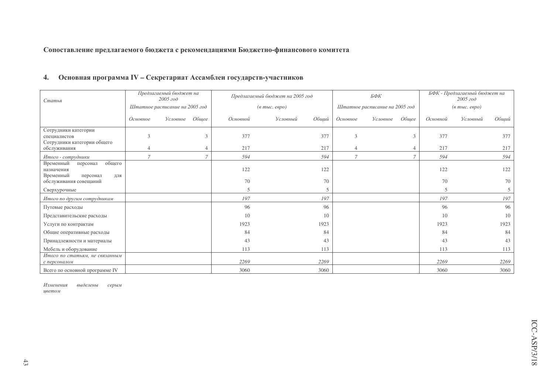# Сопоставление предлагаемого бюджета с рекомендациями Бюджетно-финансового комитета

| Статья                                                                        |                | Предлагаемый бюджет на<br>2005 z |        |                          | Предлагаемый бюджет на 2005 год    |                          |          | БФК                            |               |                          | БФК - Предлагаемый бюджет на<br>$2005$ $z$ o $\partial$                          |                |
|-------------------------------------------------------------------------------|----------------|----------------------------------|--------|--------------------------|------------------------------------|--------------------------|----------|--------------------------------|---------------|--------------------------|----------------------------------------------------------------------------------|----------------|
|                                                                               |                | Штатное расписание на 2005 год   |        |                          | $(\textit{6 molc.} \textit{eepo})$ |                          |          | Штатное расписание на 2005 год |               |                          | $(6 \text{ mol.} \text{~} \text{~} \text{~} \text{~} \text{~} \text{~} \text{~}$ |                |
|                                                                               | Основное       | Условное                         | Общее  | Основной                 | Условный                           | Общий                    | Основное | Условное                       | Общее         | Основной                 | Условный                                                                         | Общиї          |
| Сотрудники категории<br>специалистов<br>Сотрудники категории общего           | 3              |                                  | 3      | 377                      |                                    | 377                      | 3        |                                | $\mathcal{R}$ | 377                      |                                                                                  | 377            |
| обслуживания                                                                  |                |                                  | 4      | 217                      |                                    | 217                      | 4        |                                |               | 217                      |                                                                                  | 217            |
| Итого - сотрудники                                                            | $\overline{7}$ |                                  | $\tau$ | 594                      |                                    | 594                      | 7        |                                |               | 594                      |                                                                                  | 594            |
| общего<br>Временный<br>персонал<br>назначения<br>Временный<br>персонал<br>ДЛЯ |                |                                  |        | 122                      |                                    | 122                      |          |                                |               | 122                      |                                                                                  | 122            |
| обслуживания совещаний                                                        |                |                                  |        | 70                       |                                    | 70                       |          |                                |               | 70                       |                                                                                  | 70             |
| Сверхурочные                                                                  |                |                                  |        | $\overline{\phantom{0}}$ |                                    | $\overline{\phantom{1}}$ |          |                                |               | $\overline{\mathcal{L}}$ |                                                                                  |                |
| Итого по другим сотрудникам                                                   |                |                                  |        | 197                      |                                    | 197                      |          |                                |               | 197                      |                                                                                  | 197            |
| Путевые расходы                                                               |                |                                  |        | 96                       |                                    | 96                       |          |                                |               | 96                       |                                                                                  | 96             |
| Представительские расходы                                                     |                |                                  |        | 10                       |                                    | 10                       |          |                                |               | 10                       |                                                                                  | 1 <sup>1</sup> |
| Услуги по контрактам                                                          |                |                                  |        | 1923                     |                                    | 1923                     |          |                                |               | 1923                     |                                                                                  | 1923           |
| Общие оперативные расходы                                                     |                |                                  |        | 84                       |                                    | 84                       |          |                                |               | 84                       |                                                                                  | 84             |
| Принадлежности и материалы                                                    |                |                                  |        | 43                       |                                    | 43                       |          |                                |               | 43                       |                                                                                  | 4 <sup>3</sup> |
| Мебель и оборудование                                                         |                |                                  |        | 113                      |                                    | 113                      |          |                                |               | 113                      |                                                                                  | 113            |
| Итого по статьям, не связанным<br>с персоналом                                |                |                                  |        | 2269                     |                                    | 2269                     |          |                                |               | 2269                     |                                                                                  | 2269           |
| Всего по основной программе IV                                                |                |                                  |        | 3060                     |                                    | 3060                     |          |                                |               | 3060                     |                                                                                  | 3060           |

#### $\overline{4}$ . Основная программа IV - Секретариат Ассамблеи государств-участников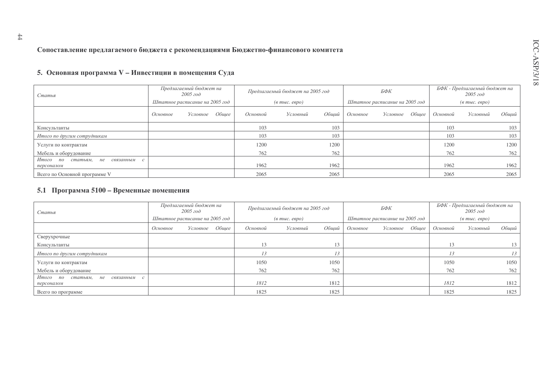### Сопоставление предлагаемого бюджета с рекомендациями Бюджетно-финансового комитета

### 5. Основная программа V – Инвестиции в помещения Суда

| Статья                                                  | Предлагаемый бюджет на<br>$2005$ $z$ o $\partial$<br>Штатное расписание на 2005 год |  |  |          | Предлагаемый бюджет на 2005 год  |       |          | БФК                            |       |          | БФК - Предлагаемый бюджет на<br>$2005 z$ od |       |
|---------------------------------------------------------|-------------------------------------------------------------------------------------|--|--|----------|----------------------------------|-------|----------|--------------------------------|-------|----------|---------------------------------------------|-------|
|                                                         |                                                                                     |  |  |          | $(a \text{ molc.} \text{ espo})$ |       |          | Штатное расписание на 2005 год |       |          | $(e$ m <sub>bl</sub> $c$ . $e$ e $po$ )     |       |
|                                                         | Обшее<br>Основное<br>Условное                                                       |  |  | Основной | Условный                         | Обший | Основное | Условное                       | Обшее | Основной | Условный                                    | Общий |
| Консультанты                                            |                                                                                     |  |  | 103      |                                  | 103   |          |                                |       | 103      |                                             | 103   |
| Итого по другим сотрудникам                             |                                                                                     |  |  | 103      |                                  | 103   |          |                                |       | 103      |                                             | 103   |
| Услуги по контрактам                                    |                                                                                     |  |  | 1200     |                                  | 1200  |          |                                |       | 1200     |                                             | 1200  |
| Мебель и оборудование                                   |                                                                                     |  |  | 762      |                                  | 762   |          |                                |       | 762      |                                             | 762   |
| Итого по<br>статьям,<br>связанным с<br>не<br>персоналом |                                                                                     |  |  | 1962     |                                  | 1962  |          |                                |       | 1962     |                                             | 1962  |
| Всего по Основной программе V                           |                                                                                     |  |  | 2065     |                                  | 2065  |          |                                |       | 2065     |                                             | 2065  |

### 5.1 Программа 5100 – Временные помещения

| Статья                                        |          | Предлагаемый бюджет на<br>2005 zoo |       |          | Предлагаемый бюджет на 2005 год  |       |          | БФК                            |       |          | БФК - Предлагаемый бюджет на<br>2005 zoo |       |
|-----------------------------------------------|----------|------------------------------------|-------|----------|----------------------------------|-------|----------|--------------------------------|-------|----------|------------------------------------------|-------|
|                                               |          | Штатное расписание на 2005 год     |       |          | $(a \text{ molc.} \text{ espo})$ |       |          | Штатное расписание на 2005 год |       |          | $(\textit{6} \text{ m}$ ыс. евро)        |       |
|                                               | Основное | Условное                           | Обшее | Основной | Условный                         | Обший | Основное | Условное                       | Обшее | Основной | Условный                                 | Обший |
| Сверухрочные                                  |          |                                    |       |          |                                  |       |          |                                |       |          |                                          |       |
| Консультанты                                  |          |                                    |       | 13       |                                  | 13    |          |                                |       | 13       |                                          | 13    |
| Итого по другим сотрудникам                   |          |                                    |       |          |                                  |       |          |                                |       |          |                                          | 13    |
| Услуги по контрактам                          |          |                                    |       | 1050     |                                  | 1050  |          |                                |       | 1050     |                                          | 1050  |
| Мебель и оборудование                         |          |                                    |       | 762      |                                  | 762   |          |                                |       | 762      |                                          | 762   |
| Итого<br>$n$ o<br>статьям,<br>не<br>связанным |          |                                    |       |          |                                  |       |          |                                |       |          |                                          |       |
| персоналом                                    |          |                                    |       | 1812     |                                  | 1812  |          |                                |       | 1812     |                                          | 1812  |
| Всего по программе                            |          |                                    |       | 1825     |                                  | 1825  |          |                                |       | 1825     |                                          | 1825  |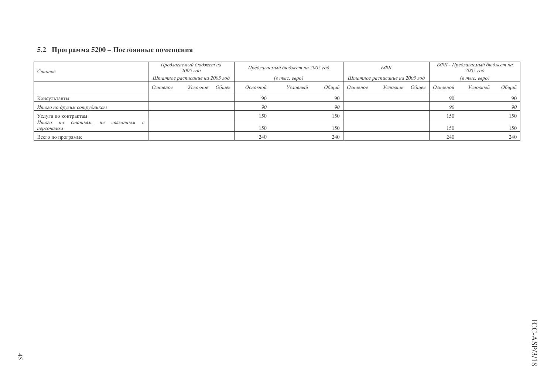### 5.2 Программа 5200 – Постоянные помещения

| Статья                         | Предлагаемый бюджет на<br>2005 zoo |                | Предлагаемый бюджет на 2005 год |                                  |          | БФК   |                                |          | БФК - Предлагаемый бюджет на<br>2005 zoo |                                  |          |                 |
|--------------------------------|------------------------------------|----------------|---------------------------------|----------------------------------|----------|-------|--------------------------------|----------|------------------------------------------|----------------------------------|----------|-----------------|
|                                | Штатное расписание на 2005 год     |                |                                 | $(a \text{ molc.} \text{~espo})$ |          |       | Штатное расписание на 2005 год |          |                                          | $(a \text{ mbic.} \text{ espo})$ |          |                 |
|                                | Основное                           | Условное Общее |                                 | Основной                         | Условный | Обший | Основное                       | Условное | Обшее                                    | Основной                         | Условный | Обший           |
| Консультанты                   |                                    |                |                                 | 90                               |          | 90    |                                |          |                                          | 90                               |          | 90 <sup>1</sup> |
| Итого по другим сотрудникам    |                                    |                |                                 | 90                               |          | 90    |                                |          |                                          | 90                               |          | 90              |
| Услуги по контрактам           |                                    |                |                                 | 150                              |          | 150   |                                |          |                                          | 150                              |          | 150             |
| Итого по статьям, не связанным |                                    |                |                                 |                                  |          |       |                                |          |                                          |                                  |          |                 |
| персоналом                     |                                    |                |                                 | 150                              |          | 150   |                                |          |                                          | 150                              |          | 150             |
| Всего по программе             |                                    |                |                                 | 240                              |          | 240   |                                |          |                                          | 240                              |          | 240             |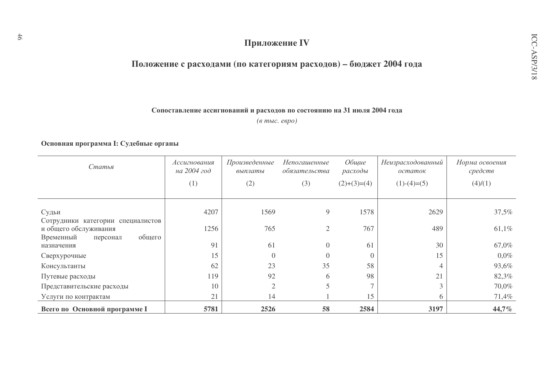# Приложение IV

# Положение с расходами (по категориям расходов) - бюджет 2004 года

# Сопоставление ассигнований и расходов по состоянию на 31 июля 2004 года

(в тыс. евро)

# Основная программа І: Судебные органы

| Статья                                                     | Произведенные<br>Ассигнования<br>на 2004 год<br>выплаты |                | Непогашенные<br>обязательства | Общие<br>расходы         | Неизрасходованный<br>остаток | Норма освоения<br>средств |  |
|------------------------------------------------------------|---------------------------------------------------------|----------------|-------------------------------|--------------------------|------------------------------|---------------------------|--|
|                                                            | (1)                                                     | (2)            | (3)                           | $(2)+(3)=(4)$            | $(1)-(4)=(5)$                | (4)/(1)                   |  |
|                                                            |                                                         |                |                               |                          |                              |                           |  |
| Судьи                                                      | 4207                                                    | 1569           | 9                             | 1578                     | 2629                         | 37,5%                     |  |
| Сотрудники категории специалистов<br>и общего обслуживания | 1256                                                    | 765            | $\overline{2}$                | 767                      | 489                          | 61,1%                     |  |
| общего<br>Временный<br>персонал<br>назначения              | 91                                                      | 61             | $\overline{0}$                | 61                       | 30                           | 67,0%                     |  |
| Сверхурочные                                               | 15                                                      | $\overline{0}$ | $\Omega$                      | $\overline{0}$           | 15                           | $0,0\%$                   |  |
| Консультанты                                               | 62                                                      | 23             | 35                            | 58                       | 4                            | 93,6%                     |  |
| Путевые расходы                                            | 119                                                     | 92             | 6                             | 98                       | 21                           | 82,3%                     |  |
| Представительские расходы                                  | 10                                                      | $\overline{2}$ | 5                             | $\overline{\phantom{0}}$ | 3                            | 70,0%                     |  |
| Услуги по контрактам                                       | 21                                                      | 14             |                               | 15                       | 6                            | 71,4%                     |  |
| Всего по Основной программе I                              | 5781                                                    | 2526           | 58                            | 2584                     | 3197                         | 44,7%                     |  |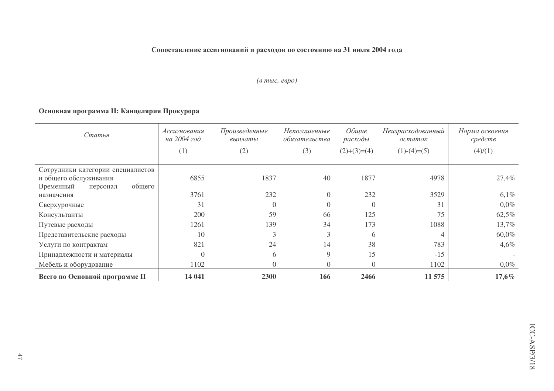# Сопоставление ассигнований и расходов по состоянию на 31 июля 2004 года

# (в тыс. евро)

# Основная программа II: Канцелярия Прокурора

| Статья                                                                                        | Ассигнования<br>на 2004 год | Произведенные<br>выплаты |                | Общие<br>расходы | Неизрасходованный<br>остаток | Норма освоения<br>средств |
|-----------------------------------------------------------------------------------------------|-----------------------------|--------------------------|----------------|------------------|------------------------------|---------------------------|
|                                                                                               | (1)                         | (2)                      | (3)            | $(2)+(3)=(4)$    | $(1)-(4)=(5)$                | (4)/(1)                   |
| Сотрудники категории специалистов<br>и общего обслуживания<br>общего<br>Временный<br>персонал | 6855                        | 1837                     | 40             | 1877             | 4978                         | 27,4%                     |
| назначения                                                                                    | 3761                        | 232                      | $\overline{0}$ | 232              | 3529                         | 6,1%                      |
| Сверхурочные                                                                                  | 31                          |                          | $\Omega$       | $\left($         | 31                           | $0.0\%$                   |
| Консультанты                                                                                  | 200                         | 59                       | 66             | 125              | 75                           | 62,5%                     |
| Путевые расходы                                                                               | 1261                        | 139                      | 34             | 173              | 1088                         | 13,7%                     |
| Представительские расходы                                                                     | 10                          | 3                        | 3              | 6                |                              | 60,0%                     |
| Услуги по контрактам                                                                          | 821                         | 24                       | 14             | 38               | 783                          | $4,6\%$                   |
| Принадлежности и материалы                                                                    |                             | 6                        | 9              | 15               | $-15$                        |                           |
| Мебель и оборудование                                                                         | 1102                        |                          | $\Omega$       | $\Omega$         | 1102                         | $0,0\%$                   |
| Всего по Основной программе II                                                                | 14 041                      | 2300                     | 166            | 2466             | 11 575                       | $17,6\%$                  |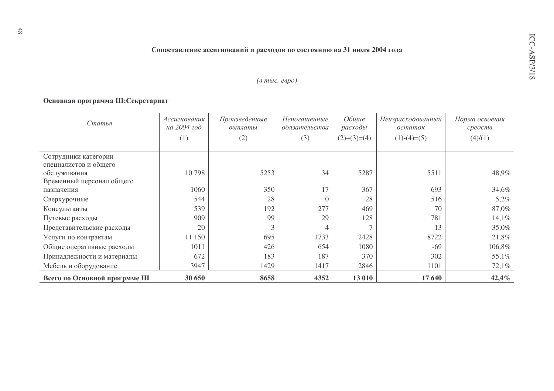Сопоставление ассигнований и расходов по состоянию на 31 июля 2004 года

# (в тыс. евро)

# Основная программа III: Секретариат

| Статья                         | Произведенные<br>Ассигнования<br>на 2004 год<br>выплаты |      | <i>Непогашенные</i><br>обязательства | Общие<br>расходы | Неизрасходованный<br>остаток | Норма освоения<br>средств |
|--------------------------------|---------------------------------------------------------|------|--------------------------------------|------------------|------------------------------|---------------------------|
|                                | (1)                                                     | (2)  | (3)                                  | $(2)+(3)=(4)$    | $(1)-(4)=(5)$                | (4)/(1)                   |
| Сотрудники категории           |                                                         |      |                                      |                  |                              |                           |
| специалистов и общего          |                                                         |      |                                      |                  |                              |                           |
| обслуживания                   | 10798                                                   | 5253 | 34                                   | 5287             | 5511                         | 48,9%                     |
| Временный персонал общего      |                                                         |      |                                      |                  |                              |                           |
| назначения                     | 1060                                                    | 350  | 17                                   | 367              | 693                          | 34,6%                     |
| Сверхурочные                   | 544                                                     | 28   | $\Omega$                             | 28               | 516                          | 5,2%                      |
| Консультанты                   | 539                                                     | 192  | 277                                  | 469              | 70                           | 87,0%                     |
| Путевые расходы                | 909                                                     | 99   | 29                                   | 128              | 781                          | 14,1%                     |
| Представительские расходы      | 20                                                      | 3    | 4                                    |                  | 13                           | 35,0%                     |
| Услуги по контрактам           | 11 150                                                  | 695  | 1733                                 | 2428             | 8722                         | 21,8%                     |
| Общие оперативные расходы      | 1011                                                    | 426  | 654                                  | 1080             | $-69$                        | 106,8%                    |
| Принадлежности и материалы     | 672                                                     | 183  | 187                                  | 370              | 302                          | 55,1%                     |
| Мебель и оборудование          | 3947                                                    | 1429 | 1417                                 | 2846             | 1101                         | 72,1%                     |
| Всего по Основной прогрмме III | 30 650                                                  | 8658 | 4352                                 | 13 010           | 17 640                       | 42,4%                     |